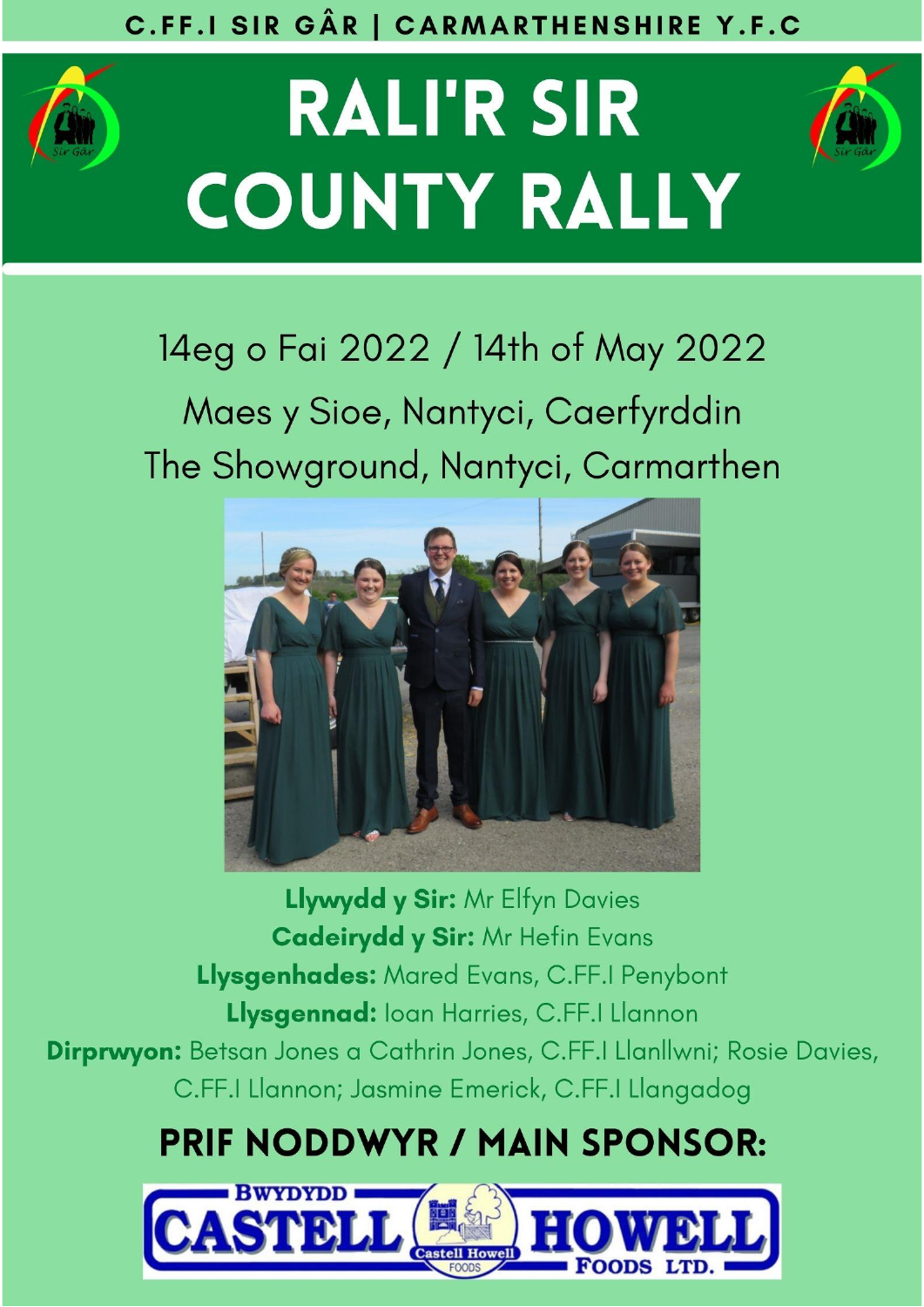# C.FF.I SIR GÂR | CARMARTHENSHIRE Y.F.C



# **RALI'R SIR COUNTY RALLY**



# 14eg o Fai 2022 / 14th of May 2022

# Maes y Sioe, Nantyci, Caerfyrddin The Showground, Nantyci, Carmarthen



Llywydd y Sir: Mr Elfyn Davies **Cadeirydd y Sir: Mr Hefin Evans** Llysgenhades: Mared Evans, C.FF.I Penybont Llysgennad: Ioan Harries, C.FF.I Llannon Dirprwyon: Betsan Jones a Cathrin Jones, C.FF.I Llanllwni; Rosie Davies, C.FF.I Llannon; Jasmine Emerick, C.FF.I Llangadog

# **PRIF NODDWYR / MAIN SPONSOR:**

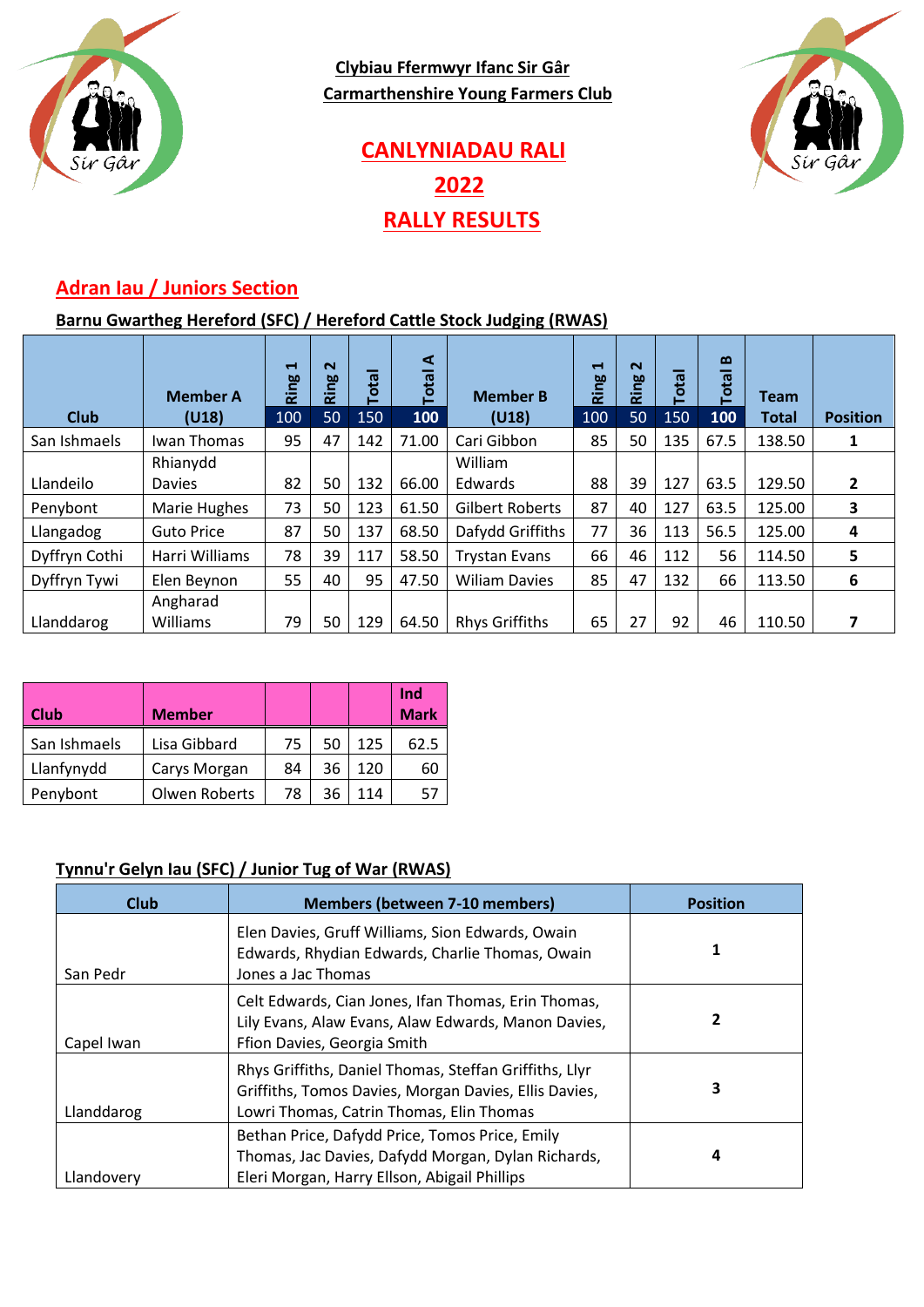

**Clybiau Ffermwyr Ifanc Sir Gâr Carmarthenshire Young Farmers Club**



# **CANLYNIADAU RALI 2022 RALLY RESULTS**

#### **Adran Iau / Juniors Section**

#### **Barnu Gwartheg Hereford (SFC) / Hereford Cattle Stock Judging (RWAS)**

| <b>Club</b>   | <b>Member A</b><br>(U18) | $\blacksquare$<br>ဗ္ဓ<br>ïΞ<br>100 | $\sim$<br>Ring<br>50 | <b>Tota</b><br>150 | ⋖<br><b>Total</b><br>100 | <b>Member B</b><br>(U18) | $\mathbf -$<br>Ring<br>100 | $\sim$<br>ဗ္ဗ<br>ĩΣ<br>50 | <b>Tota</b><br>150 | $\mathbf{\Omega}$<br><b>Total</b><br>100 | <b>Team</b><br><b>Total</b> | <b>Position</b> |
|---------------|--------------------------|------------------------------------|----------------------|--------------------|--------------------------|--------------------------|----------------------------|---------------------------|--------------------|------------------------------------------|-----------------------------|-----------------|
| San Ishmaels  | Iwan Thomas              | 95                                 | 47                   | 142                | 71.00                    | Cari Gibbon              | 85                         | 50                        | 135                | 67.5                                     | 138.50                      | 1               |
|               | Rhianydd                 |                                    |                      |                    |                          | William                  |                            |                           |                    |                                          |                             |                 |
| Llandeilo     | <b>Davies</b>            | 82                                 | 50                   | 132                | 66.00                    | Edwards                  | 88                         | 39                        | 127                | 63.5                                     | 129.50                      | 2               |
| Penybont      | Marie Hughes             | 73                                 | 50                   | 123                | 61.50                    | Gilbert Roberts          | 87                         | 40                        | 127                | 63.5                                     | 125.00                      | 3               |
| Llangadog     | <b>Guto Price</b>        | 87                                 | 50                   | 137                | 68.50                    | Dafydd Griffiths         | 77                         | 36                        | 113                | 56.5                                     | 125.00                      | 4               |
| Dyffryn Cothi | Harri Williams           | 78                                 | 39                   | 117                | 58.50                    | <b>Trystan Evans</b>     | 66                         | 46                        | 112                | 56                                       | 114.50                      | 5               |
| Dyffryn Tywi  | Elen Beynon              | 55                                 | 40                   | 95                 | 47.50                    | <b>Wiliam Davies</b>     | 85                         | 47                        | 132                | 66                                       | 113.50                      | 6               |
| Llanddarog    | Angharad<br>Williams     | 79                                 | 50                   | 129                | 64.50                    | <b>Rhys Griffiths</b>    | 65                         | 27                        | 92                 | 46                                       | 110.50                      |                 |
|               |                          |                                    |                      |                    |                          |                          |                            |                           |                    |                                          |                             |                 |

| <b>Club</b>  | <b>Member</b> |    |    |     | Ind<br><b>Mark</b> |
|--------------|---------------|----|----|-----|--------------------|
| San Ishmaels | Lisa Gibbard  | 75 | 50 | 125 | 62.5               |
| Llanfynydd   | Carys Morgan  | 84 | 36 | 120 | 60                 |
| Penybont     | Olwen Roberts | 78 | 36 | 114 |                    |

#### **Tynnu'r Gelyn Iau (SFC) / Junior Tug of War (RWAS)**

| <b>Club</b> | <b>Members (between 7-10 members)</b>                                                                                                                       | <b>Position</b> |
|-------------|-------------------------------------------------------------------------------------------------------------------------------------------------------------|-----------------|
| San Pedr    | Elen Davies, Gruff Williams, Sion Edwards, Owain<br>Edwards, Rhydian Edwards, Charlie Thomas, Owain<br>Jones a Jac Thomas                                   |                 |
| Capel Iwan  | Celt Edwards, Cian Jones, Ifan Thomas, Erin Thomas,<br>Lily Evans, Alaw Evans, Alaw Edwards, Manon Davies,<br>Ffion Davies, Georgia Smith                   | 2               |
| Llanddarog  | Rhys Griffiths, Daniel Thomas, Steffan Griffiths, Llyr<br>Griffiths, Tomos Davies, Morgan Davies, Ellis Davies,<br>Lowri Thomas, Catrin Thomas, Elin Thomas | 3               |
| Llandovery  | Bethan Price, Dafydd Price, Tomos Price, Emily<br>Thomas, Jac Davies, Dafydd Morgan, Dylan Richards,<br>Eleri Morgan, Harry Ellson, Abigail Phillips        | 4               |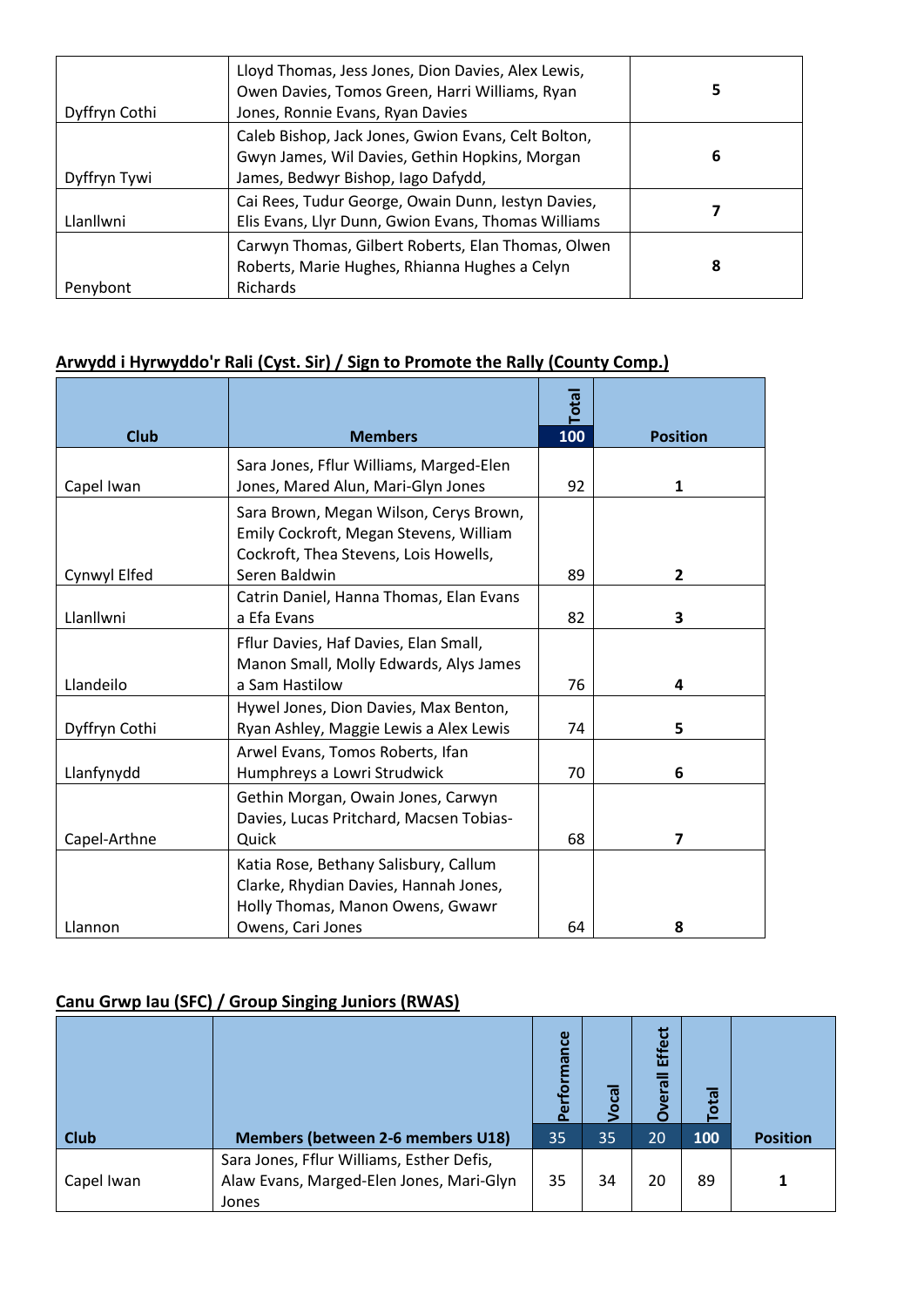| Dyffryn Cothi | Lloyd Thomas, Jess Jones, Dion Davies, Alex Lewis,<br>Owen Davies, Tomos Green, Harri Williams, Ryan<br>Jones, Ronnie Evans, Ryan Davies    | 5 |
|---------------|---------------------------------------------------------------------------------------------------------------------------------------------|---|
| Dyffryn Tywi  | Caleb Bishop, Jack Jones, Gwion Evans, Celt Bolton,<br>Gwyn James, Wil Davies, Gethin Hopkins, Morgan<br>James, Bedwyr Bishop, Iago Dafydd, | 6 |
| Llanllwni     | Cai Rees, Tudur George, Owain Dunn, lestyn Davies,<br>Elis Evans, Llyr Dunn, Gwion Evans, Thomas Williams                                   |   |
| Penybont      | Carwyn Thomas, Gilbert Roberts, Elan Thomas, Olwen<br>Roberts, Marie Hughes, Rhianna Hughes a Celyn<br><b>Richards</b>                      | 8 |

#### **Arwydd i Hyrwyddo'r Rali (Cyst. Sir) / Sign to Promote the Rally (County Comp.)**

|               |                                                                                                                                         | Total |                 |
|---------------|-----------------------------------------------------------------------------------------------------------------------------------------|-------|-----------------|
| <b>Club</b>   | <b>Members</b>                                                                                                                          | 100   | <b>Position</b> |
| Capel Iwan    | Sara Jones, Fflur Williams, Marged-Elen<br>Jones, Mared Alun, Mari-Glyn Jones                                                           | 92    | 1               |
|               | Sara Brown, Megan Wilson, Cerys Brown,<br>Emily Cockroft, Megan Stevens, William<br>Cockroft, Thea Stevens, Lois Howells,               |       |                 |
| Cynwyl Elfed  | Seren Baldwin                                                                                                                           | 89    | $\overline{2}$  |
| Llanllwni     | Catrin Daniel, Hanna Thomas, Elan Evans<br>a Efa Evans                                                                                  | 82    | 3               |
| Llandeilo     | Fflur Davies, Haf Davies, Elan Small,<br>Manon Small, Molly Edwards, Alys James<br>a Sam Hastilow                                       | 76    | 4               |
| Dyffryn Cothi | Hywel Jones, Dion Davies, Max Benton,<br>Ryan Ashley, Maggie Lewis a Alex Lewis                                                         | 74    | 5               |
| Llanfynydd    | Arwel Evans, Tomos Roberts, Ifan<br>Humphreys a Lowri Strudwick                                                                         | 70    | 6               |
| Capel-Arthne  | Gethin Morgan, Owain Jones, Carwyn<br>Davies, Lucas Pritchard, Macsen Tobias-<br>Quick                                                  | 68    | $\overline{7}$  |
| Llannon       | Katia Rose, Bethany Salisbury, Callum<br>Clarke, Rhydian Davies, Hannah Jones,<br>Holly Thomas, Manon Owens, Gwawr<br>Owens, Cari Jones | 64    | 8               |

#### **Canu Grwp Iau (SFC) / Group Singing Juniors (RWAS)**

|             |                                                                                                | mance<br>ق<br><b>a</b> | កូ<br>o | <b>Effect</b><br>erall | <b>Total</b> |                 |
|-------------|------------------------------------------------------------------------------------------------|------------------------|---------|------------------------|--------------|-----------------|
| <b>Club</b> | <b>Members (between 2-6 members U18)</b>                                                       | 35 <sub>1</sub>        | 35      | 20                     | 100          | <b>Position</b> |
| Capel Iwan  | Sara Jones, Fflur Williams, Esther Defis,<br>Alaw Evans, Marged-Elen Jones, Mari-Glyn<br>Jones | 35                     | 34      | 20                     | 89           |                 |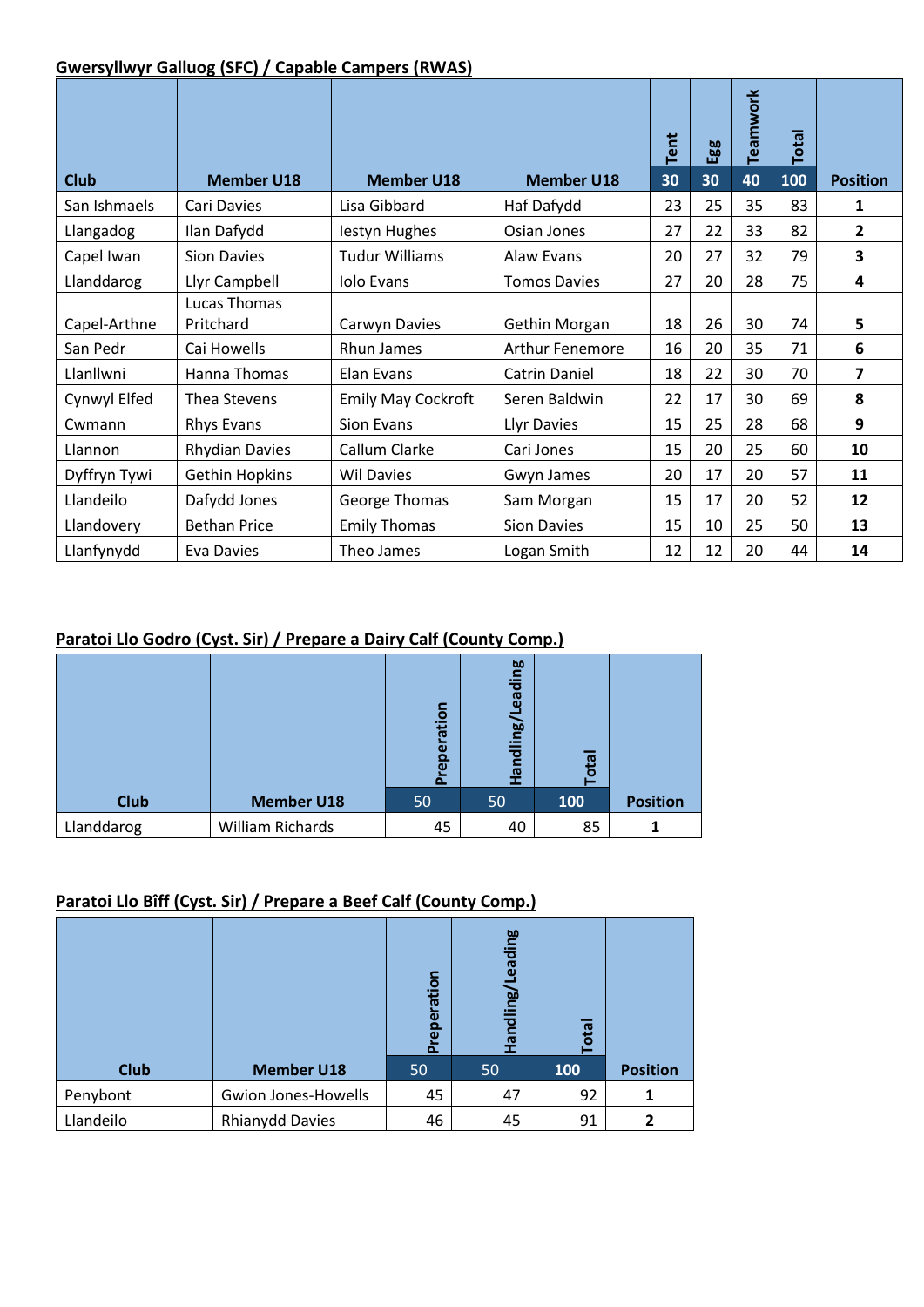#### **Gwersyllwyr Galluog (SFC) / Capable Campers (RWAS)**

|              |                           |                           |                        |            | Egg | Teamwork | Total |                 |
|--------------|---------------------------|---------------------------|------------------------|------------|-----|----------|-------|-----------------|
| <b>Club</b>  | <b>Member U18</b>         | <b>Member U18</b>         | <b>Member U18</b>      | Tent<br>30 | 30  | 40       | 100   | <b>Position</b> |
| San Ishmaels | Cari Davies               | Lisa Gibbard              | Haf Dafydd             | 23         | 25  | 35       | 83    | 1               |
| Llangadog    | Ilan Dafydd               | lestyn Hughes             | Osian Jones            | 27         | 22  | 33       | 82    | $\overline{2}$  |
| Capel Iwan   | <b>Sion Davies</b>        | <b>Tudur Williams</b>     | Alaw Evans             | 20         | 27  | 32       | 79    | 3               |
| Llanddarog   | Llyr Campbell             | <b>Iolo Evans</b>         | <b>Tomos Davies</b>    | 27         | 20  | 28       | 75    | 4               |
| Capel-Arthne | Lucas Thomas<br>Pritchard | Carwyn Davies             | Gethin Morgan          | 18         | 26  | 30       | 74    | 5               |
| San Pedr     | Cai Howells               | Rhun James                | <b>Arthur Fenemore</b> | 16         | 20  | 35       | 71    | 6               |
| Llanllwni    | Hanna Thomas              | Elan Evans                | <b>Catrin Daniel</b>   | 18         | 22  | 30       | 70    | 7               |
| Cynwyl Elfed | Thea Stevens              | <b>Emily May Cockroft</b> | Seren Baldwin          | 22         | 17  | 30       | 69    | 8               |
| Cwmann       | Rhys Evans                | Sion Evans                | Llyr Davies            | 15         | 25  | 28       | 68    | 9               |
| Llannon      | <b>Rhydian Davies</b>     | Callum Clarke             | Cari Jones             | 15         | 20  | 25       | 60    | 10              |
| Dyffryn Tywi | <b>Gethin Hopkins</b>     | <b>Wil Davies</b>         | Gwyn James             | 20         | 17  | 20       | 57    | 11              |
| Llandeilo    | Dafydd Jones              | George Thomas             | Sam Morgan             | 15         | 17  | 20       | 52    | 12              |
| Llandovery   | <b>Bethan Price</b>       | <b>Emily Thomas</b>       | <b>Sion Davies</b>     | 15         | 10  | 25       | 50    | 13              |
| Llanfynydd   | Eva Davies                | Theo James                | Logan Smith            | 12         | 12  | 20       | 44    | 14              |

#### **Paratoi Llo Godro (Cyst. Sir) / Prepare a Dairy Calf (County Comp.)**

|             |                         | ration<br>힏<br>$\omega$<br>$\Omega$ | <b>bo</b><br>등<br>ඕ<br>ling/l<br>힡<br>π | ota |                 |
|-------------|-------------------------|-------------------------------------|-----------------------------------------|-----|-----------------|
| <b>Club</b> | <b>Member U18</b>       | 50                                  | 50                                      | 100 | <b>Position</b> |
| Llanddarog  | <b>William Richards</b> | 45                                  | 40                                      | 85  |                 |

#### **Paratoi Llo Bîff (Cyst. Sir) / Prepare a Beef Calf (County Comp.)**

|             |                            | reperation<br>Ā | ading<br>andling/L | ota |                 |
|-------------|----------------------------|-----------------|--------------------|-----|-----------------|
| <b>Club</b> | <b>Member U18</b>          | 50              | 50                 | 100 | <b>Position</b> |
| Penybont    | <b>Gwion Jones-Howells</b> | 45              | 47                 | 92  |                 |
| Llandeilo   | <b>Rhianydd Davies</b>     | 46              | 45                 | 91  | 7               |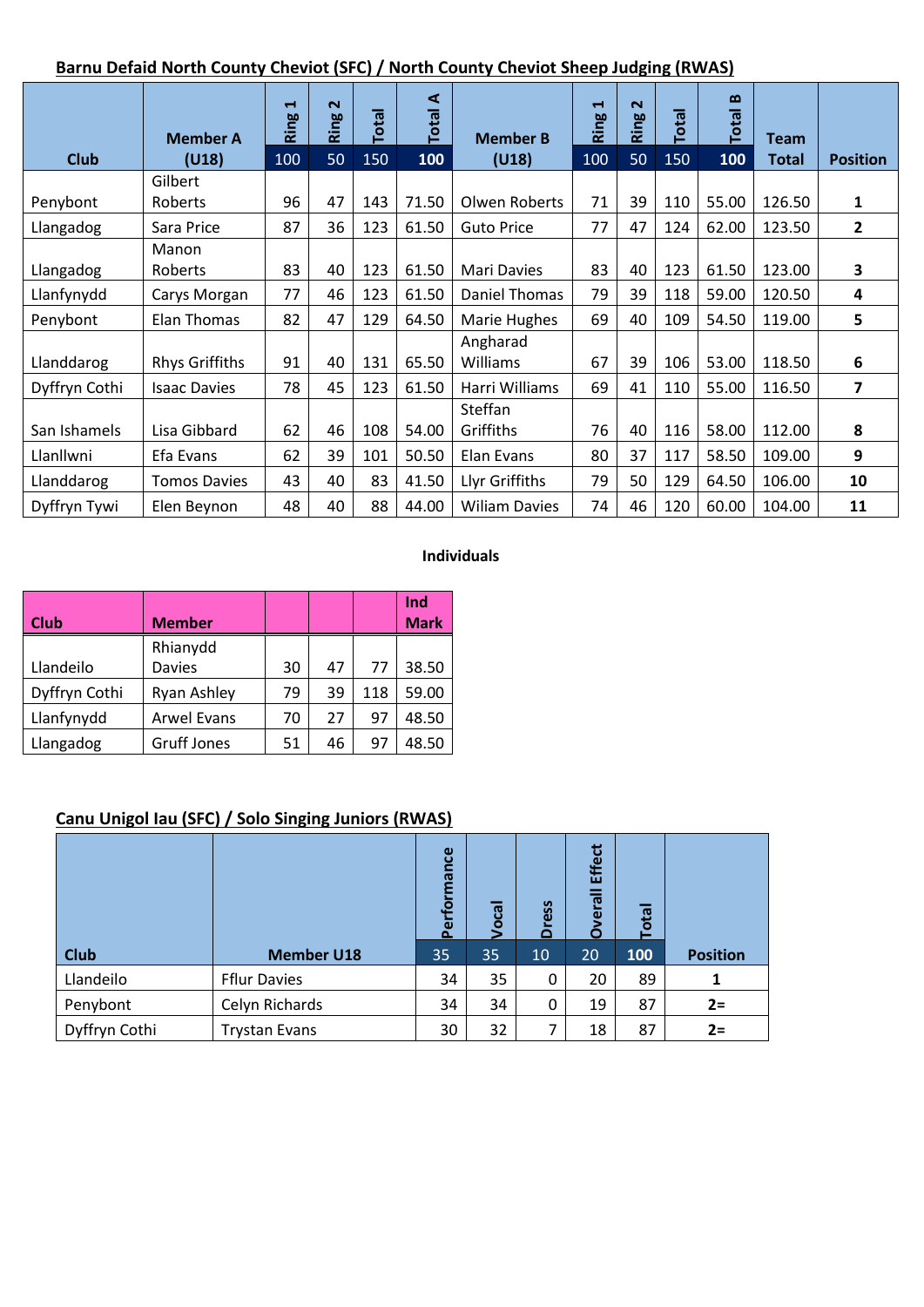#### **Barnu Defaid North County Cheviot (SFC) / North County Cheviot Sheep Judging (RWAS)**

|               | <b>Member A</b>       | $\blacksquare$<br>Ring | $\sim$<br>Ring | <b>Total</b> | ◀<br><b>Total</b> | <b>Member B</b>      | $\blacksquare$<br>Ring | $\sim$<br>Ring | <b>Tota</b> | $\mathbf{a}$<br><b>Total</b> | <b>Team</b> |                 |
|---------------|-----------------------|------------------------|----------------|--------------|-------------------|----------------------|------------------------|----------------|-------------|------------------------------|-------------|-----------------|
| <b>Club</b>   | (U18)                 | 100                    | 50             | 150          | 100               | (U18)                | 100                    | 50             | 150         | 100                          | Total       | <b>Position</b> |
|               | Gilbert               |                        |                |              |                   |                      |                        |                |             |                              |             |                 |
| Penybont      | <b>Roberts</b>        | 96                     | 47             | 143          | 71.50             | Olwen Roberts        | 71                     | 39             | 110         | 55.00                        | 126.50      | 1               |
| Llangadog     | Sara Price            | 87                     | 36             | 123          | 61.50             | <b>Guto Price</b>    | 77                     | 47             | 124         | 62.00                        | 123.50      | 2               |
|               | Manon                 |                        |                |              |                   |                      |                        |                |             |                              |             |                 |
| Llangadog     | <b>Roberts</b>        | 83                     | 40             | 123          | 61.50             | <b>Mari Davies</b>   | 83                     | 40             | 123         | 61.50                        | 123.00      | 3               |
| Llanfynydd    | Carys Morgan          | 77                     | 46             | 123          | 61.50             | Daniel Thomas        | 79                     | 39             | 118         | 59.00                        | 120.50      | 4               |
| Penybont      | Elan Thomas           | 82                     | 47             | 129          | 64.50             | Marie Hughes         | 69                     | 40             | 109         | 54.50                        | 119.00      | 5               |
|               |                       |                        |                |              |                   | Angharad             |                        |                |             |                              |             |                 |
| Llanddarog    | <b>Rhys Griffiths</b> | 91                     | 40             | 131          | 65.50             | Williams             | 67                     | 39             | 106         | 53.00                        | 118.50      | 6               |
| Dyffryn Cothi | <b>Isaac Davies</b>   | 78                     | 45             | 123          | 61.50             | Harri Williams       | 69                     | 41             | 110         | 55.00                        | 116.50      | 7               |
|               |                       |                        |                |              |                   | Steffan              |                        |                |             |                              |             |                 |
| San Ishamels  | Lisa Gibbard          | 62                     | 46             | 108          | 54.00             | Griffiths            | 76                     | 40             | 116         | 58.00                        | 112.00      | 8               |
| Llanllwni     | Efa Evans             | 62                     | 39             | 101          | 50.50             | Elan Evans           | 80                     | 37             | 117         | 58.50                        | 109.00      | 9               |
| Llanddarog    | <b>Tomos Davies</b>   | 43                     | 40             | 83           | 41.50             | Llyr Griffiths       | 79                     | 50             | 129         | 64.50                        | 106.00      | 10              |
| Dyffryn Tywi  | Elen Beynon           | 48                     | 40             | 88           | 44.00             | <b>Wiliam Davies</b> | 74                     | 46             | 120         | 60.00                        | 104.00      | 11              |

#### **Individuals**

|               |                    |    |    |     | Ind         |
|---------------|--------------------|----|----|-----|-------------|
| Club          | <b>Member</b>      |    |    |     | <b>Mark</b> |
|               | Rhianydd           |    |    |     |             |
| Llandeilo     | <b>Davies</b>      | 30 | 47 | 77  | 38.50       |
| Dyffryn Cothi | Ryan Ashley        | 79 | 39 | 118 | 59.00       |
| Llanfynydd    | <b>Arwel Evans</b> | 70 | 27 | 97  | 48.50       |
| Llangadog     | <b>Gruff Jones</b> | 51 | 46 | 97  | 48.50       |

#### **Canu Unigol Iau (SFC) / Solo Singing Juniors (RWAS)**

|               |                      | ဗွ<br>त्व<br>ę<br>$\omega$<br>$\Delta$ | ocal | ess<br>ā | <b>Effect</b><br>$\overline{\overline{16}}$<br>$\bar{\mathbf{e}}$<br>Ò | <b>Total</b> |                 |
|---------------|----------------------|----------------------------------------|------|----------|------------------------------------------------------------------------|--------------|-----------------|
| <b>Club</b>   | <b>Member U18</b>    | 35                                     | 35   | 10       | 20                                                                     | 100          | <b>Position</b> |
| Llandeilo     | <b>Fflur Davies</b>  | 34                                     | 35   | 0        | 20                                                                     | 89           |                 |
| Penybont      | Celyn Richards       | 34                                     | 34   | 0        | 19                                                                     | 87           | $2 =$           |
| Dyffryn Cothi | <b>Trystan Evans</b> | 30                                     | 32   | 7        | 18                                                                     | 87           | $2=$            |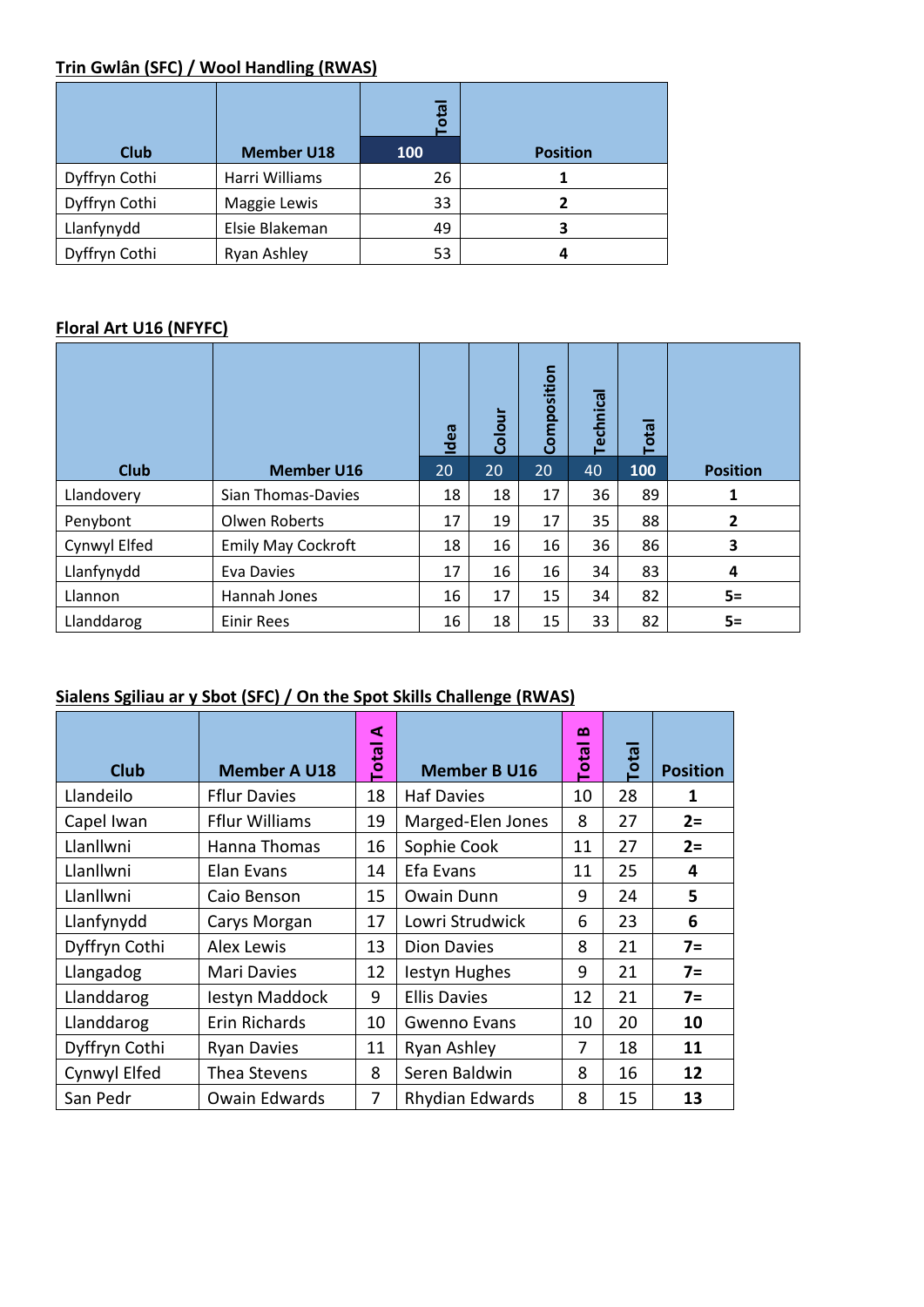# **Trin Gwlân (SFC) / Wool Handling (RWAS)**

|               |                   | 恧<br>ъ     |                 |
|---------------|-------------------|------------|-----------------|
| Club          | <b>Member U18</b> | <b>100</b> | <b>Position</b> |
| Dyffryn Cothi | Harri Williams    | 26         |                 |
| Dyffryn Cothi | Maggie Lewis      | 33         |                 |
| Llanfynydd    | Elsie Blakeman    | 49         | 3               |
| Dyffryn Cothi | Ryan Ashley       | 53         | 4               |

#### **Floral Art U16 (NFYFC)**

|              |                           | Idea | Colour | Composition     | <b>Technical</b> | <b>Total</b> |                 |
|--------------|---------------------------|------|--------|-----------------|------------------|--------------|-----------------|
| <b>Club</b>  | <b>Member U16</b>         | 20   | 20     | 20 <sub>1</sub> | 40               | 100          | <b>Position</b> |
| Llandovery   | Sian Thomas-Davies        | 18   | 18     | 17              | 36               | 89           | 1               |
| Penybont     | Olwen Roberts             | 17   | 19     | 17              | 35               | 88           | $\mathbf{2}$    |
| Cynwyl Elfed | <b>Emily May Cockroft</b> | 18   | 16     | 16              | 36               | 86           | 3               |
| Llanfynydd   | Eva Davies                | 17   | 16     | 16              | 34               | 83           | 4               |
| Llannon      | Hannah Jones              | 16   | 17     | 15              | 34               | 82           | $5=$            |
| Llanddarog   | <b>Einir Rees</b>         | 16   | 18     | 15              | 33               | 82           | $5=$            |

#### **Sialens Sgiliau ar y Sbot (SFC) / On the Spot Skills Challenge (RWAS)**

| Club          | <b>Member A U18</b>   | ⋖<br><b>Total</b> | <b>Member B U16</b>    | മ<br><b>Total</b> | <b>Total</b> | <b>Position</b> |
|---------------|-----------------------|-------------------|------------------------|-------------------|--------------|-----------------|
| Llandeilo     | <b>Fflur Davies</b>   | 18                | <b>Haf Davies</b>      | 10                | 28           | 1               |
| Capel Iwan    | <b>Fflur Williams</b> | 19                | Marged-Elen Jones      | 8                 | 27           | $2=$            |
| Llanllwni     | Hanna Thomas          | 16                | Sophie Cook            | 11                | 27           | $2=$            |
| Llanllwni     | Elan Evans            | 14                | Efa Evans              | 11                | 25           | 4               |
| Llanllwni     | Caio Benson           | 15                | <b>Owain Dunn</b>      | 9                 | 24           | 5               |
| Llanfynydd    | Carys Morgan          | 17                | Lowri Strudwick        | 6                 | 23           | 6               |
| Dyffryn Cothi | Alex Lewis            | 13                | <b>Dion Davies</b>     | 8                 | 21           | $7=$            |
| Llangadog     | Mari Davies           | 12                | lestyn Hughes          | 9                 | 21           | $7=$            |
| Llanddarog    | lestyn Maddock        | 9                 | <b>Ellis Davies</b>    | 12                | 21           | $7=$            |
| Llanddarog    | Erin Richards         | 10                | <b>Gwenno Evans</b>    | 10                | 20           | 10              |
| Dyffryn Cothi | <b>Ryan Davies</b>    | 11                | Ryan Ashley            | 7                 | 18           | 11              |
| Cynwyl Elfed  | Thea Stevens          | 8                 | Seren Baldwin          | 8                 | 16           | 12              |
| San Pedr      | Owain Edwards         | 7                 | <b>Rhydian Edwards</b> | 8                 | 15           | 13              |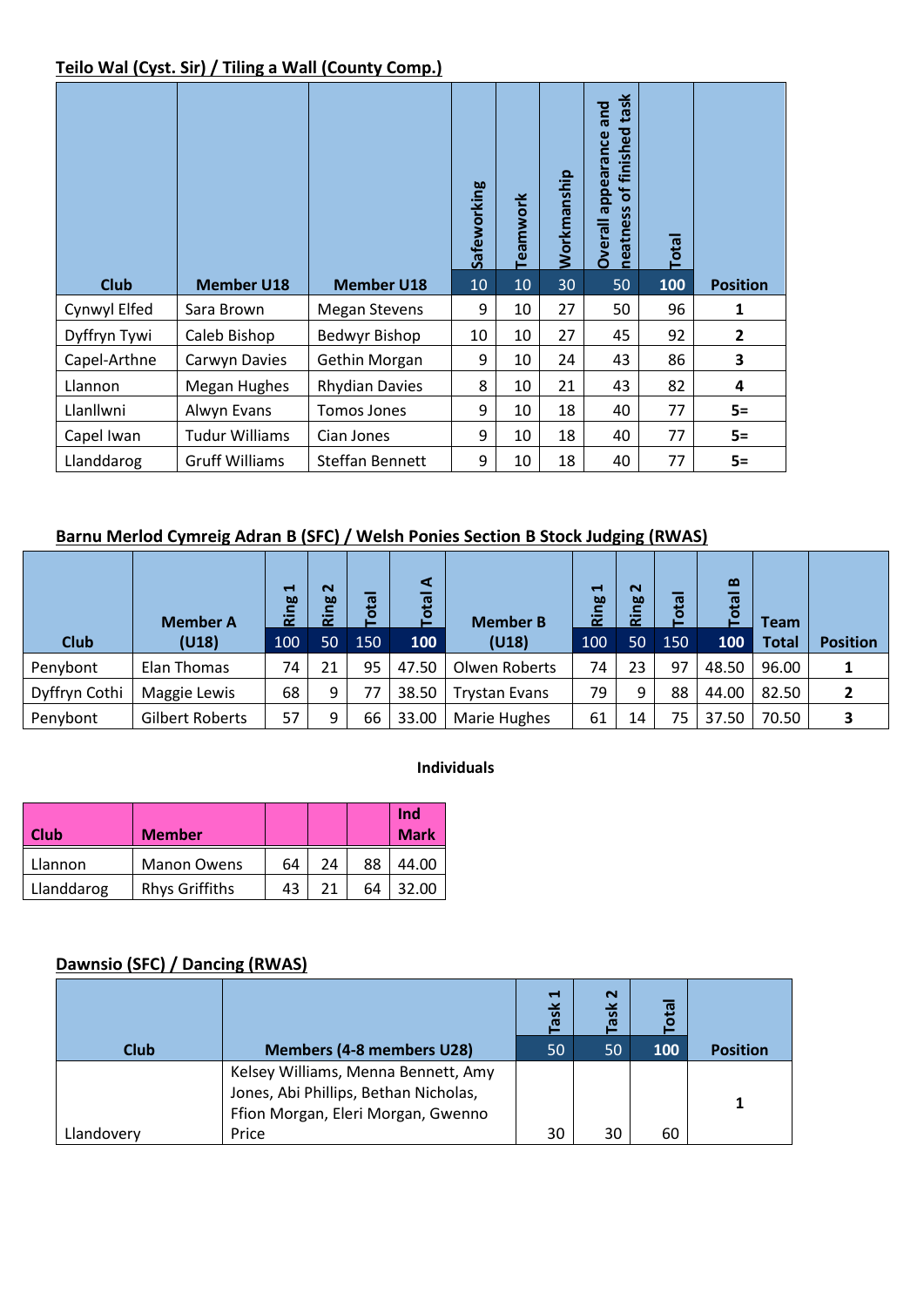#### **Teilo Wal (Cyst. Sir) / Tiling a Wall (County Comp.)**

| <b>Club</b>  | <b>Member U18</b>     | <b>Member U18</b>     | Safeworking<br>10 | Teamwork<br>10 | Workmanship<br>30 | sct<br>appearance and<br>finished<br>$\mathbf{b}$<br>neatness<br><b>Dverall</b><br>50 | <b>Total</b><br>100 | <b>Position</b> |
|--------------|-----------------------|-----------------------|-------------------|----------------|-------------------|---------------------------------------------------------------------------------------|---------------------|-----------------|
| Cynwyl Elfed | Sara Brown            | <b>Megan Stevens</b>  | 9                 | 10             | 27                | 50                                                                                    | 96                  | 1               |
| Dyffryn Tywi | Caleb Bishop          | Bedwyr Bishop         | 10                | 10             | 27                | 45                                                                                    | 92                  | $\overline{2}$  |
| Capel-Arthne | Carwyn Davies         | Gethin Morgan         | 9                 | 10             | 24                | 43                                                                                    | 86                  | 3               |
| Llannon      | Megan Hughes          | <b>Rhydian Davies</b> | 8                 | 10             | 21                | 43                                                                                    | 82                  | 4               |
|              |                       |                       |                   |                |                   |                                                                                       |                     |                 |
| Llanllwni    | Alwyn Evans           | <b>Tomos Jones</b>    | 9                 | 10             | 18                | 40                                                                                    | 77                  | $5=$            |
| Capel Iwan   | <b>Tudur Williams</b> | Cian Jones            | 9                 | 10             | 18                | 40                                                                                    | 77                  | $5=$            |

#### **Barnu Merlod Cymreig Adran B (SFC) / Welsh Ponies Section B Stock Judging (RWAS)**

|               | <b>Member A</b> | $\blacksquare$<br>ğρ<br>ē | $\mathbf{\Omega}$<br>Ring | <b>Ieto</b><br>⊢ | ⋖<br><b>Total</b> | <b>Member B</b>      | H<br>Ring | $\sim$<br>50<br>$\alpha$ | otal | $\mathbf{a}$<br>ঢ় | <b>Team</b>  |                 |
|---------------|-----------------|---------------------------|---------------------------|------------------|-------------------|----------------------|-----------|--------------------------|------|--------------------|--------------|-----------------|
| <b>Club</b>   | (U18)           | 100                       | 50                        | 150              | 100               | (U18)                | 100       | 50                       | 150  | 100                | <b>Total</b> | <b>Position</b> |
| Penybont      | Elan Thomas     | 74                        | 21                        | 95               | 47.50             | Olwen Roberts        | 74        | 23                       | 97   | 48.50              | 96.00        |                 |
| Dyffryn Cothi | Maggie Lewis    | 68                        | 9                         | 77               | 38.50             | <b>Trystan Evans</b> | 79        | 9                        | 88   | 44.00              | 82.50        |                 |
| Penybont      | Gilbert Roberts | 57                        | 9                         | 66               | 33.00             | Marie Hughes         | 61        | 14                       | 75   | 37.50              | 70.50        |                 |

#### **Individuals**

| Club       | <b>Member</b>         |    |    |    | <b>Ind</b><br><b>Mark</b> |
|------------|-----------------------|----|----|----|---------------------------|
| Llannon    | <b>Manon Owens</b>    | 64 | 24 | 88 | 44.00                     |
| Llanddarog | <b>Rhys Griffiths</b> | 43 | 21 | 64 | 32.00                     |

#### **Dawnsio (SFC) / Dancing (RWAS)**

|            |                                       | $\blacksquare$<br><b>Ase</b> | $\sim$<br>ask | otal |                 |
|------------|---------------------------------------|------------------------------|---------------|------|-----------------|
| Club       | <b>Members (4-8 members U28)</b>      | 50                           | 50            | 100  | <b>Position</b> |
|            | Kelsey Williams, Menna Bennett, Amy   |                              |               |      |                 |
|            | Jones, Abi Phillips, Bethan Nicholas, |                              |               |      |                 |
|            | Ffion Morgan, Eleri Morgan, Gwenno    |                              |               |      |                 |
| Llandoverv | Price                                 | 30                           | 30            | 60   |                 |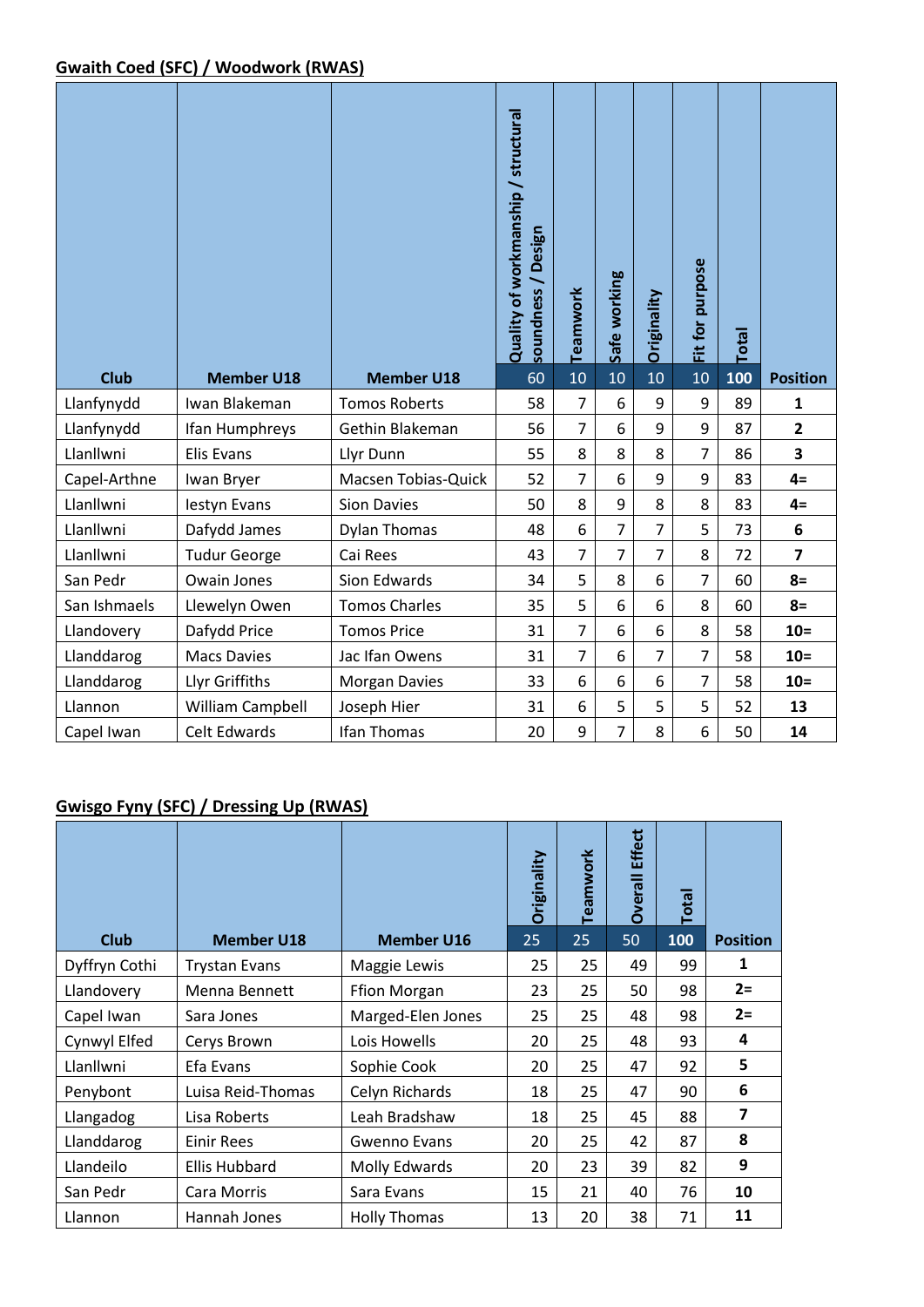#### **Gwaith Coed (SFC) / Woodwork (RWAS)**

| <b>Club</b>  | <b>Member U18</b>   | <b>Member U18</b>    | Quality of workmanship / structural<br>Design<br>soundness<br>60 | Teamwork<br>10 | Safe working<br>10 | Originality<br>10 | Fit for purpose<br>10 | Total<br>100 | <b>Position</b> |
|--------------|---------------------|----------------------|------------------------------------------------------------------|----------------|--------------------|-------------------|-----------------------|--------------|-----------------|
| Llanfynydd   | Iwan Blakeman       | <b>Tomos Roberts</b> | 58                                                               | $\overline{7}$ | 6                  | 9                 | 9                     | 89           | $\mathbf{1}$    |
| Llanfynydd   | Ifan Humphreys      | Gethin Blakeman      | 56                                                               | $\overline{7}$ | 6                  | 9                 | 9                     | 87           | $\overline{2}$  |
| Llanllwni    | <b>Elis Evans</b>   | Llyr Dunn            | 55                                                               | 8              | 8                  | 8                 | $\overline{7}$        | 86           | 3               |
| Capel-Arthne | Iwan Bryer          | Macsen Tobias-Quick  | 52                                                               | $\overline{7}$ | 6                  | 9                 | 9                     | 83           | $4=$            |
| Llanllwni    | lestyn Evans        | <b>Sion Davies</b>   | 50                                                               | 8              | 9                  | 8                 | 8                     | 83           | $4=$            |
| Llanllwni    | Dafydd James        | <b>Dylan Thomas</b>  | 48                                                               | 6              | $\overline{7}$     | $\overline{7}$    | 5                     | 73           | 6               |
| Llanllwni    | <b>Tudur George</b> | Cai Rees             | 43                                                               | $\overline{7}$ | $\overline{7}$     | $\overline{7}$    | 8                     | 72           | $\overline{7}$  |
| San Pedr     | Owain Jones         | Sion Edwards         | 34                                                               | 5              | 8                  | 6                 | $\overline{7}$        | 60           | $8=$            |
| San Ishmaels | Llewelyn Owen       | <b>Tomos Charles</b> | 35                                                               | 5              | 6                  | 6                 | 8                     | 60           | $8=$            |
| Llandovery   | Dafydd Price        | <b>Tomos Price</b>   | 31                                                               | $\overline{7}$ | 6                  | 6                 | 8                     | 58           | $10 =$          |
| Llanddarog   | <b>Macs Davies</b>  | Jac Ifan Owens       | 31                                                               | $\overline{7}$ | 6                  | $\overline{7}$    | $\overline{7}$        | 58           | $10=$           |
| Llanddarog   | Llyr Griffiths      | <b>Morgan Davies</b> | 33                                                               | 6              | 6                  | 6                 | $\overline{7}$        | 58           | $10=$           |
| Llannon      | William Campbell    | Joseph Hier          | 31                                                               | 6              | 5                  | 5                 | 5                     | 52           | 13              |
| Capel Iwan   | <b>Celt Edwards</b> | Ifan Thomas          | 20                                                               | 9              | 7                  | 8                 | 6                     | 50           | 14              |

#### **Gwisgo Fyny (SFC) / Dressing Up (RWAS)**

|               |                      |                     | Originality | Teamwork | <b>Effect</b><br><b>Overall</b> | <b>Total</b> |                         |
|---------------|----------------------|---------------------|-------------|----------|---------------------------------|--------------|-------------------------|
| <b>Club</b>   | <b>Member U18</b>    | <b>Member U16</b>   | 25          | 25       | 50                              | 100          | <b>Position</b>         |
| Dyffryn Cothi | <b>Trystan Evans</b> | Maggie Lewis        | 25          | 25       | 49                              | 99           | 1                       |
| Llandovery    | Menna Bennett        | <b>Ffion Morgan</b> | 23          | 25       | 50                              | 98           | $2 =$                   |
| Capel Iwan    | Sara Jones           | Marged-Elen Jones   | 25          | 25       | 48                              | 98           | $2 =$                   |
| Cynwyl Elfed  | Cerys Brown          | Lois Howells        | 20          | 25       | 48                              | 93           | 4                       |
| Llanllwni     | Efa Evans            | Sophie Cook         | 20          | 25       | 47                              | 92           | 5                       |
| Penybont      | Luisa Reid-Thomas    | Celyn Richards      | 18          | 25       | 47                              | 90           | 6                       |
| Llangadog     | Lisa Roberts         | Leah Bradshaw       | 18          | 25       | 45                              | 88           | $\overline{\mathbf{z}}$ |
| Llanddarog    | Einir Rees           | Gwenno Evans        | 20          | 25       | 42                              | 87           | 8                       |
| Llandeilo     | <b>Ellis Hubbard</b> | Molly Edwards       | 20          | 23       | 39                              | 82           | 9                       |
| San Pedr      | Cara Morris          | Sara Evans          | 15          | 21       | 40                              | 76           | 10                      |
| Llannon       | Hannah Jones         | <b>Holly Thomas</b> | 13          | 20       | 38                              | 71           | 11                      |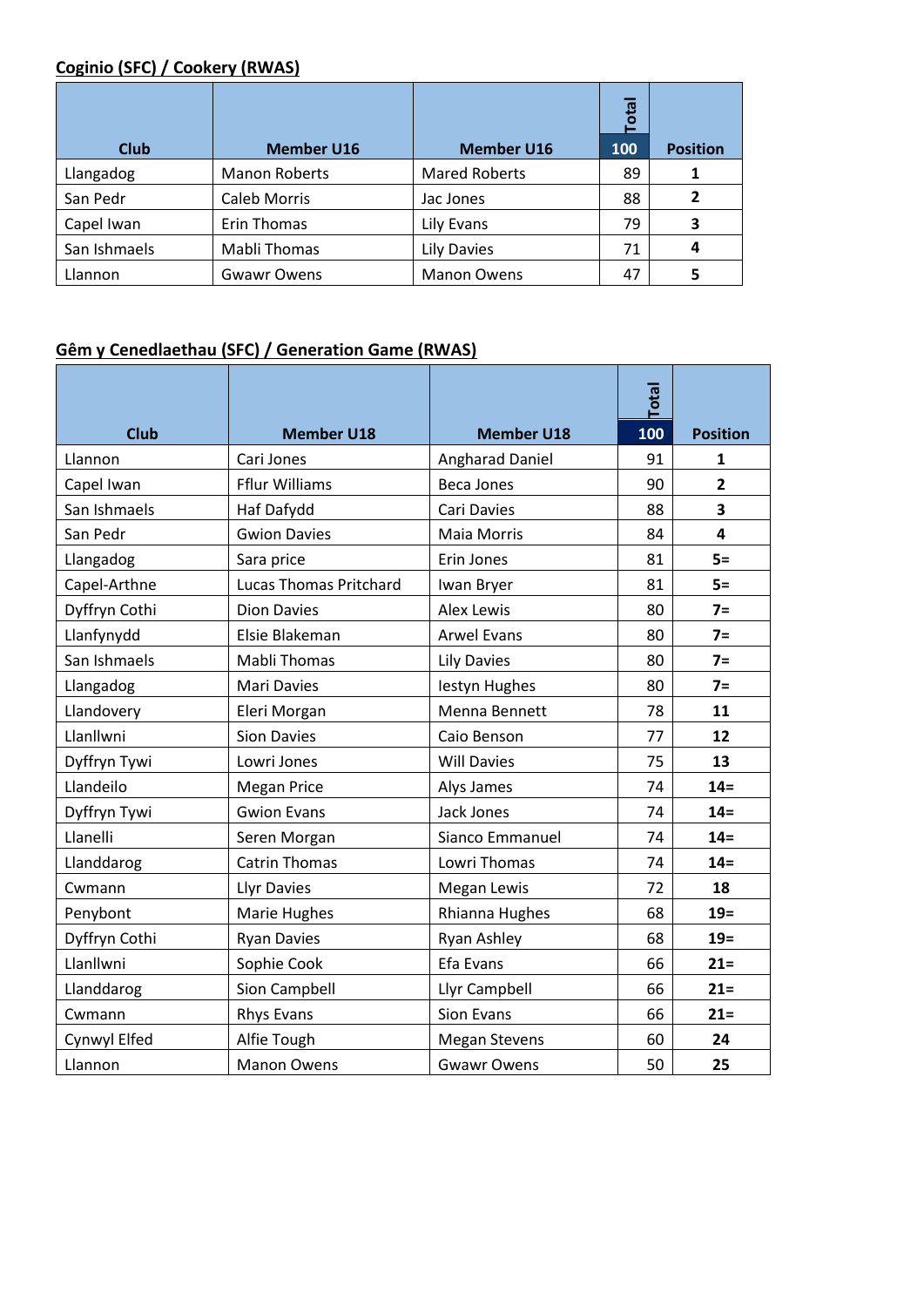#### **Coginio (SFC) / Cookery (RWAS)**

|              |                      |                      | <b>Total</b> |                 |
|--------------|----------------------|----------------------|--------------|-----------------|
| <b>Club</b>  | <b>Member U16</b>    | <b>Member U16</b>    | 100          | <b>Position</b> |
| Llangadog    | <b>Manon Roberts</b> | <b>Mared Roberts</b> | 89           | 1               |
| San Pedr     | Caleb Morris         | Jac Jones            | 88           | 2               |
| Capel Iwan   | Erin Thomas          | Lily Evans           | 79           | 3               |
| San Ishmaels | <b>Mabli Thomas</b>  | <b>Lily Davies</b>   | 71           | 4               |
| Llannon      | <b>Gwawr Owens</b>   | <b>Manon Owens</b>   | 47           |                 |

#### **Gêm y Cenedlaethau (SFC) / Generation Game (RWAS)**

|               |                               |                        | <b>Total</b> |                 |
|---------------|-------------------------------|------------------------|--------------|-----------------|
| <b>Club</b>   | <b>Member U18</b>             | <b>Member U18</b>      | 100          | <b>Position</b> |
| Llannon       | Cari Jones                    | <b>Angharad Daniel</b> | 91           | $\mathbf{1}$    |
| Capel Iwan    | <b>Fflur Williams</b>         | <b>Beca Jones</b>      | 90           | $\overline{2}$  |
| San Ishmaels  | Haf Dafydd                    | Cari Davies            | 88           | 3               |
| San Pedr      | <b>Gwion Davies</b>           | <b>Maia Morris</b>     | 84           | 4               |
| Llangadog     | Sara price                    | Erin Jones             | 81           | $5=$            |
| Capel-Arthne  | <b>Lucas Thomas Pritchard</b> | Iwan Bryer             | 81           | $5=$            |
| Dyffryn Cothi | <b>Dion Davies</b>            | <b>Alex Lewis</b>      | 80           | $7=$            |
| Llanfynydd    | Elsie Blakeman                | <b>Arwel Evans</b>     | 80           | $7=$            |
| San Ishmaels  | <b>Mabli Thomas</b>           | <b>Lily Davies</b>     | 80           | $7=$            |
| Llangadog     | <b>Mari Davies</b>            | lestyn Hughes          | 80           | $7=$            |
| Llandovery    | Eleri Morgan                  | Menna Bennett          | 78           | 11              |
| Llanllwni     | <b>Sion Davies</b>            | Caio Benson            | 77           | 12              |
| Dyffryn Tywi  | Lowri Jones                   | <b>Will Davies</b>     | 75           | 13              |
| Llandeilo     | <b>Megan Price</b>            | Alys James             | 74           | $14=$           |
| Dyffryn Tywi  | <b>Gwion Evans</b>            | Jack Jones             | 74           | $14 =$          |
| Llanelli      | Seren Morgan                  | Sianco Emmanuel        | 74           | $14=$           |
| Llanddarog    | <b>Catrin Thomas</b>          | Lowri Thomas           | 74           | $14=$           |
| Cwmann        | <b>Llyr Davies</b>            | Megan Lewis            | 72           | 18              |
| Penybont      | Marie Hughes                  | Rhianna Hughes         | 68           | $19=$           |
| Dyffryn Cothi | <b>Ryan Davies</b>            | Ryan Ashley            | 68           | $19=$           |
| Llanllwni     | Sophie Cook                   | Efa Evans              | 66           | $21 =$          |
| Llanddarog    | Sion Campbell                 | Llyr Campbell          | 66           | $21 =$          |
| Cwmann        | <b>Rhys Evans</b>             | <b>Sion Evans</b>      | 66           | $21 =$          |
| Cynwyl Elfed  | Alfie Tough                   | <b>Megan Stevens</b>   | 60           | 24              |
| Llannon       | <b>Manon Owens</b>            | <b>Gwawr Owens</b>     | 50           | 25              |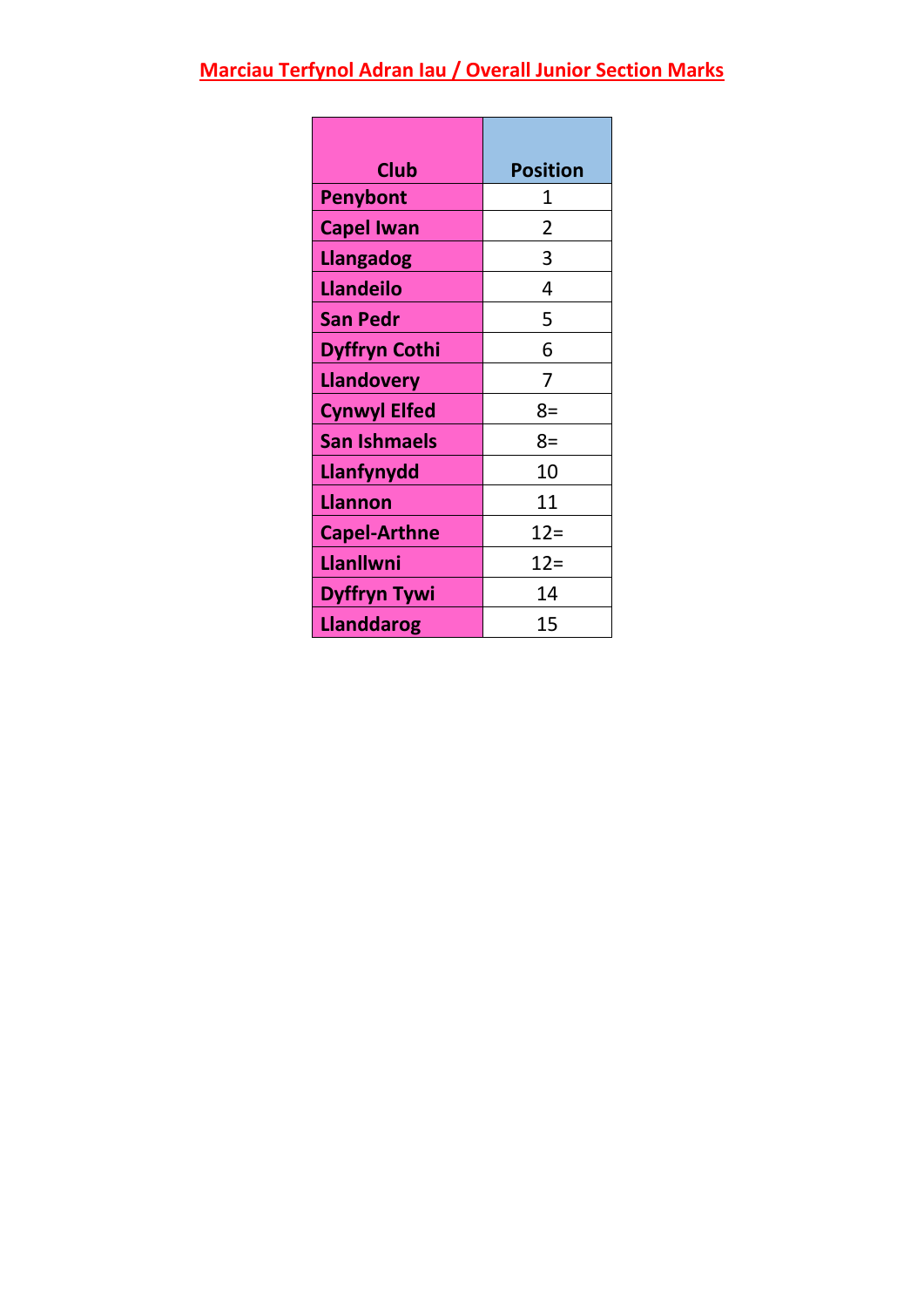# **Marciau Terfynol Adran Iau / Overall Junior Section Marks**

| <b>Club</b>          | <b>Position</b> |
|----------------------|-----------------|
| <b>Penybont</b>      | 1               |
| <b>Capel Iwan</b>    | 2               |
| <b>Llangadog</b>     | 3               |
| <b>Llandeilo</b>     | 4               |
| <b>San Pedr</b>      | 5               |
| <b>Dyffryn Cothi</b> | 6               |
| <b>Llandovery</b>    | 7               |
| <b>Cynwyl Elfed</b>  | $8=$            |
| <b>San Ishmaels</b>  | 8=              |
| Llanfynydd           | 10              |
| <b>Llannon</b>       | 11              |
| <b>Capel-Arthne</b>  | $12=$           |
| Llanllwni            | $12 =$          |
| <b>Dyffryn Tywi</b>  | 14              |
| <b>Llanddarog</b>    | 15              |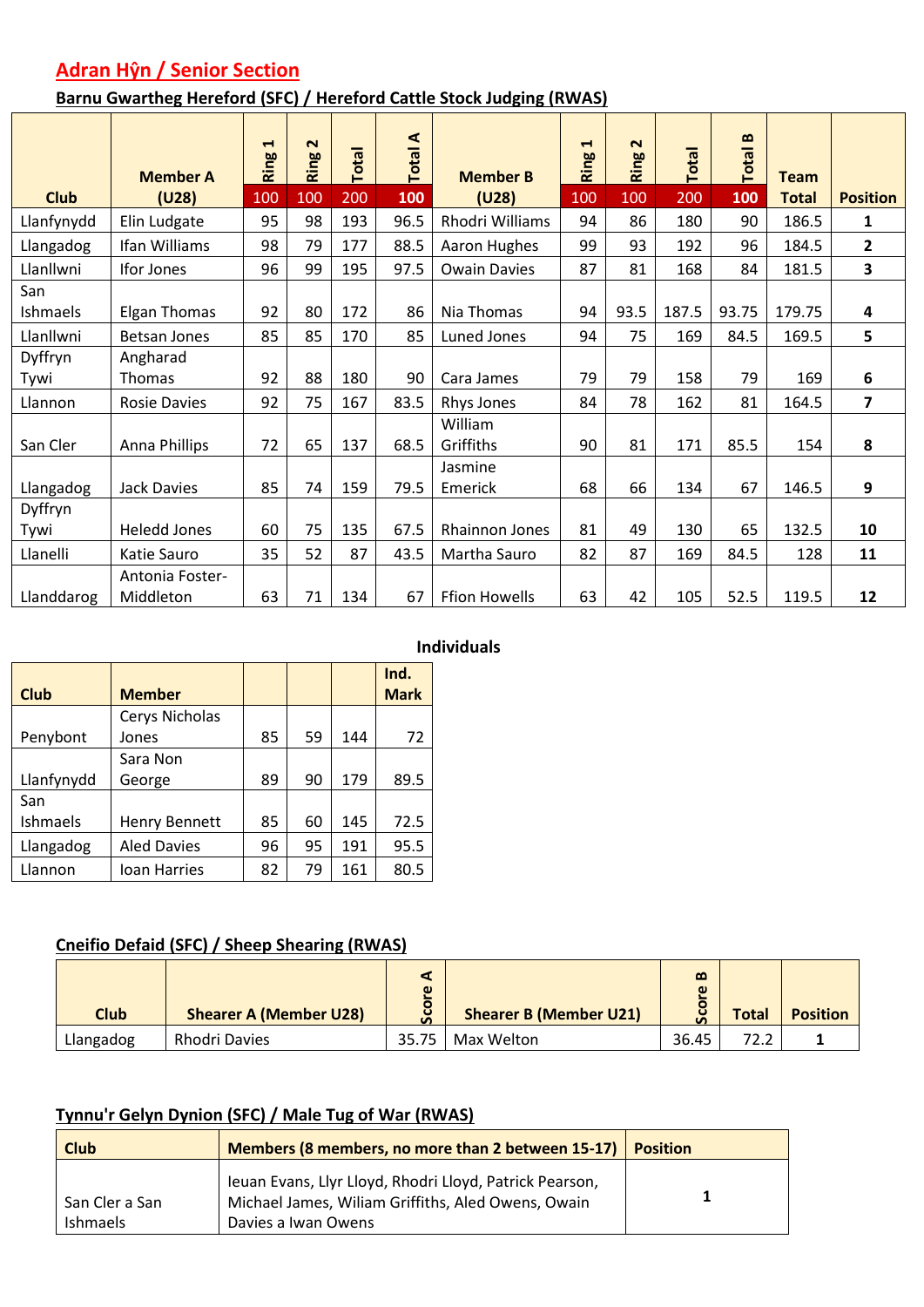## **Adran Hŷn / Senior Section**

#### **Barnu Gwartheg Hereford (SFC) / Hereford Cattle Stock Judging (RWAS)**

|             | <b>Member A</b>     | $\blacktriangleleft$<br>Ring | $\mathbf{\Omega}$<br>Ring | Total | <b>Total A</b> | <b>Member B</b>      | $\blacktriangleleft$<br>Ring | $\mathbf{\Omega}$<br>Ring | Total | $\mathbf{m}$<br><b>Total</b> | <b>Team</b>  |                 |
|-------------|---------------------|------------------------------|---------------------------|-------|----------------|----------------------|------------------------------|---------------------------|-------|------------------------------|--------------|-----------------|
| <b>Club</b> | (U28)               | 100                          | 100                       | 200   | 100            | (U28)                | 100                          | 100                       | 200   | 100                          | <b>Total</b> | <b>Position</b> |
| Llanfynydd  | Elin Ludgate        | 95                           | 98                        | 193   | 96.5           | Rhodri Williams      | 94                           | 86                        | 180   | 90                           | 186.5        | 1               |
| Llangadog   | Ifan Williams       | 98                           | 79                        | 177   | 88.5           | Aaron Hughes         | 99                           | 93                        | 192   | 96                           | 184.5        | $\overline{2}$  |
| Llanllwni   | Ifor Jones          | 96                           | 99                        | 195   | 97.5           | <b>Owain Davies</b>  | 87                           | 81                        | 168   | 84                           | 181.5        | 3               |
| San         |                     |                              |                           |       |                |                      |                              |                           |       |                              |              |                 |
| Ishmaels    | <b>Elgan Thomas</b> | 92                           | 80                        | 172   | 86             | Nia Thomas           | 94                           | 93.5                      | 187.5 | 93.75                        | 179.75       | 4               |
| Llanllwni   | <b>Betsan Jones</b> | 85                           | 85                        | 170   | 85             | Luned Jones          | 94                           | 75                        | 169   | 84.5                         | 169.5        | 5               |
| Dyffryn     | Angharad            |                              |                           |       |                |                      |                              |                           |       |                              |              |                 |
| Tywi        | Thomas              | 92                           | 88                        | 180   | 90             | Cara James           | 79                           | 79                        | 158   | 79                           | 169          | 6               |
| Llannon     | <b>Rosie Davies</b> | 92                           | 75                        | 167   | 83.5           | Rhys Jones           | 84                           | 78                        | 162   | 81                           | 164.5        | 7               |
|             |                     |                              |                           |       |                | William              |                              |                           |       |                              |              |                 |
| San Cler    | Anna Phillips       | 72                           | 65                        | 137   | 68.5           | Griffiths            | 90                           | 81                        | 171   | 85.5                         | 154          | 8               |
|             |                     |                              |                           |       |                | Jasmine              |                              |                           |       |                              |              |                 |
| Llangadog   | Jack Davies         | 85                           | 74                        | 159   | 79.5           | Emerick              | 68                           | 66                        | 134   | 67                           | 146.5        | 9               |
| Dyffryn     |                     |                              |                           |       |                |                      |                              |                           |       |                              |              |                 |
| Tywi        | <b>Heledd Jones</b> | 60                           | 75                        | 135   | 67.5           | Rhainnon Jones       | 81                           | 49                        | 130   | 65                           | 132.5        | 10              |
| Llanelli    | Katie Sauro         | 35                           | 52                        | 87    | 43.5           | Martha Sauro         | 82                           | 87                        | 169   | 84.5                         | 128          | 11              |
|             | Antonia Foster-     |                              |                           |       |                |                      |                              |                           |       |                              |              |                 |
| Llanddarog  | Middleton           | 63                           | 71                        | 134   | 67             | <b>Ffion Howells</b> | 63                           | 42                        | 105   | 52.5                         | 119.5        | 12              |

#### **Individuals**

| <b>Club</b>     | <b>Member</b>      |    |    |     | Ind.<br><b>Mark</b> |
|-----------------|--------------------|----|----|-----|---------------------|
|                 | Cerys Nicholas     |    |    |     |                     |
| Penybont        | Jones              | 85 | 59 | 144 | 72                  |
|                 | Sara Non           |    |    |     |                     |
| Llanfynydd      | George             | 89 | 90 | 179 | 89.5                |
| San             |                    |    |    |     |                     |
| <b>Ishmaels</b> | Henry Bennett      | 85 | 60 | 145 | 72.5                |
| Llangadog       | <b>Aled Davies</b> | 96 | 95 | 191 | 95.5                |
| Llannon         | Ioan Harries       | 82 | 79 | 161 | 80.5                |

#### **Cneifio Defaid (SFC) / Sheep Shearing (RWAS)**

| <b>Club</b> | <b>Shearer A (Member U28)</b> | $\omega$<br>o | <b>Shearer B (Member U21)</b> | $\mathbf{\Omega}$<br>$\omega$<br>$\overline{\bullet}$<br>Ū<br>$\mathbf{v}$ | <b>Total</b> | <b>Position</b> |
|-------------|-------------------------------|---------------|-------------------------------|----------------------------------------------------------------------------|--------------|-----------------|
| Llangadog   | Rhodri Davies                 | 35.75         | Max Welton                    | 36.45                                                                      | 72.2         |                 |

#### **Tynnu'r Gelyn Dynion (SFC) / Male Tug of War (RWAS)**

| Members (8 members, no more than 2 between 15-17)<br><b>Club</b> |                                                                                                                                      | <b>Position</b> |
|------------------------------------------------------------------|--------------------------------------------------------------------------------------------------------------------------------------|-----------------|
| San Cler a San<br>Ishmaels                                       | Ieuan Evans, Llyr Lloyd, Rhodri Lloyd, Patrick Pearson,<br>Michael James, Wiliam Griffiths, Aled Owens, Owain<br>Davies a Iwan Owens |                 |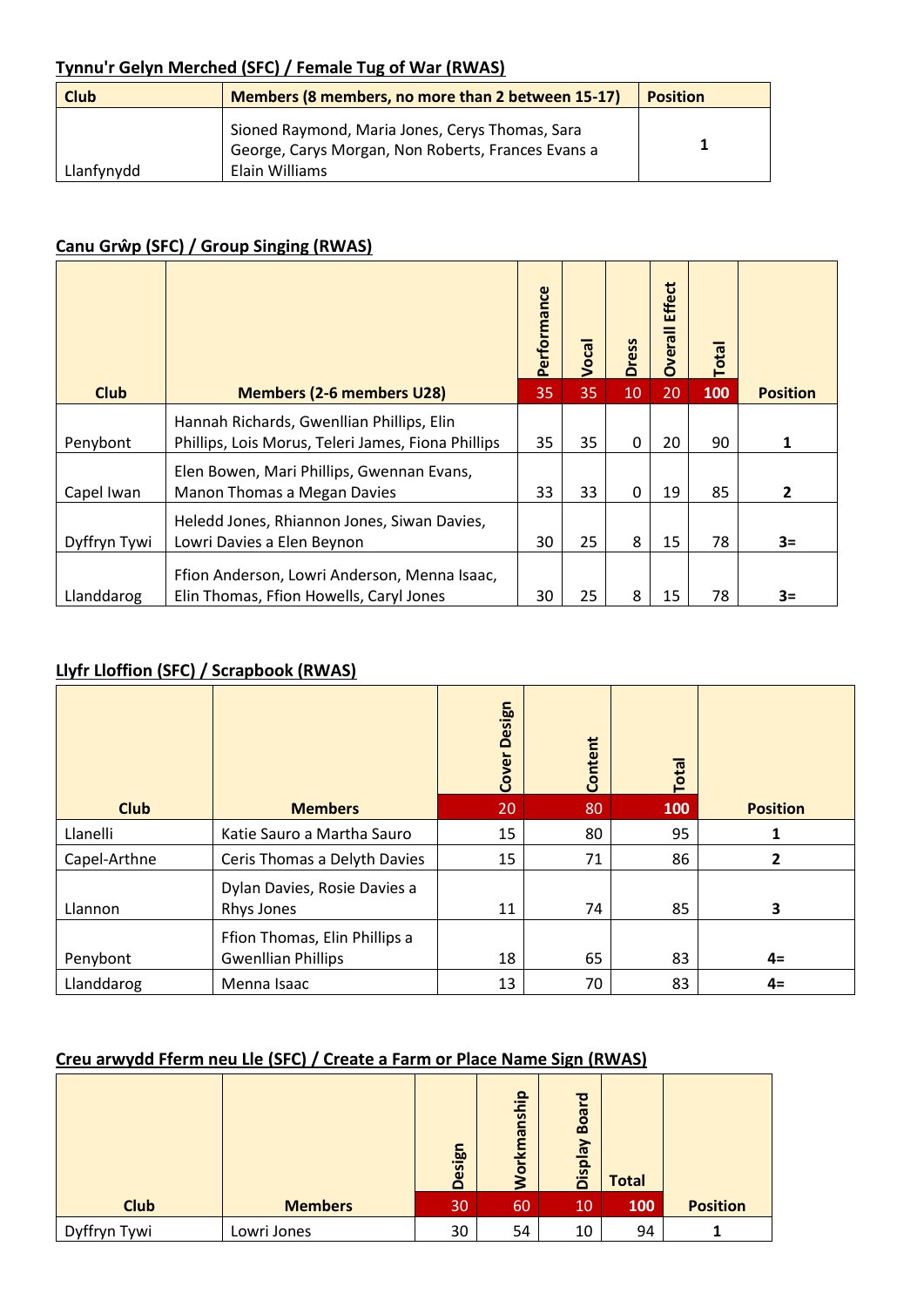#### **Tynnu'r Gelyn Merched (SFC) / Female Tug of War (RWAS)**

| <b>Club</b> | Members (8 members, no more than 2 between 15-17)                                                                       | <b>Position</b> |
|-------------|-------------------------------------------------------------------------------------------------------------------------|-----------------|
| Llanfynydd  | Sioned Raymond, Maria Jones, Cerys Thomas, Sara<br>George, Carys Morgan, Non Roberts, Frances Evans a<br>Elain Williams |                 |

#### **Canu Grŵp (SFC) / Group Singing (RWAS)**

|              |                                                                                                 | Performance | Vocal | <b>Dress</b> | <b>Effect</b><br><b>Overall</b> | <b>Total</b> |                 |
|--------------|-------------------------------------------------------------------------------------------------|-------------|-------|--------------|---------------------------------|--------------|-----------------|
| <b>Club</b>  | <b>Members (2-6 members U28)</b>                                                                | 35          | 35    | 10           | 20                              | 100          | <b>Position</b> |
| Penybont     | Hannah Richards, Gwenllian Phillips, Elin<br>Phillips, Lois Morus, Teleri James, Fiona Phillips | 35          | 35    | 0            | 20                              | 90           | 1               |
| Capel Iwan   | Elen Bowen, Mari Phillips, Gwennan Evans,<br>Manon Thomas a Megan Davies                        | 33          | 33    | 0            | 19                              | 85           | 2               |
| Dyffryn Tywi | Heledd Jones, Rhiannon Jones, Siwan Davies,<br>Lowri Davies a Elen Beynon                       | 30          | 25    | 8            | 15                              | 78           | $3=$            |
| Llanddarog   | Ffion Anderson, Lowri Anderson, Menna Isaac,<br>Elin Thomas, Ffion Howells, Caryl Jones         | 30          | 25    | 8            | 15                              | 78           | $3=$            |

#### **Llyfr Lloffion (SFC) / Scrapbook (RWAS)**

|              |                                                            | Design<br>Cover | Content | Total |                 |
|--------------|------------------------------------------------------------|-----------------|---------|-------|-----------------|
| <b>Club</b>  | <b>Members</b>                                             | 20              | 80      | 100   | <b>Position</b> |
| Llanelli     | Katie Sauro a Martha Sauro                                 | 15              | 80      | 95    |                 |
| Capel-Arthne | Ceris Thomas a Delyth Davies                               | 15              | 71      | 86    | 2               |
| Llannon      | Dylan Davies, Rosie Davies a<br>Rhys Jones                 | 11              | 74      | 85    | 3               |
| Penybont     | Ffion Thomas, Elin Phillips a<br><b>Gwenllian Phillips</b> | 18              | 65      | 83    | $4=$            |
| Llanddarog   | Menna Isaac                                                | 13              | 70      | 83    | $4=$            |

#### **Creu arwydd Fferm neu Lle (SFC) / Create a Farm or Place Name Sign (RWAS)**

|              |                | <b>Design</b> | <b>Jorkmanship</b> | <b>Board</b><br><b>Veldsig</b> | <b>Total</b> |                 |
|--------------|----------------|---------------|--------------------|--------------------------------|--------------|-----------------|
| <b>Club</b>  | <b>Members</b> | 30            | 60                 | 10                             | 100          | <b>Position</b> |
| Dyffryn Tywi | Lowri Jones    | 30            | 54                 | 10                             | 94           |                 |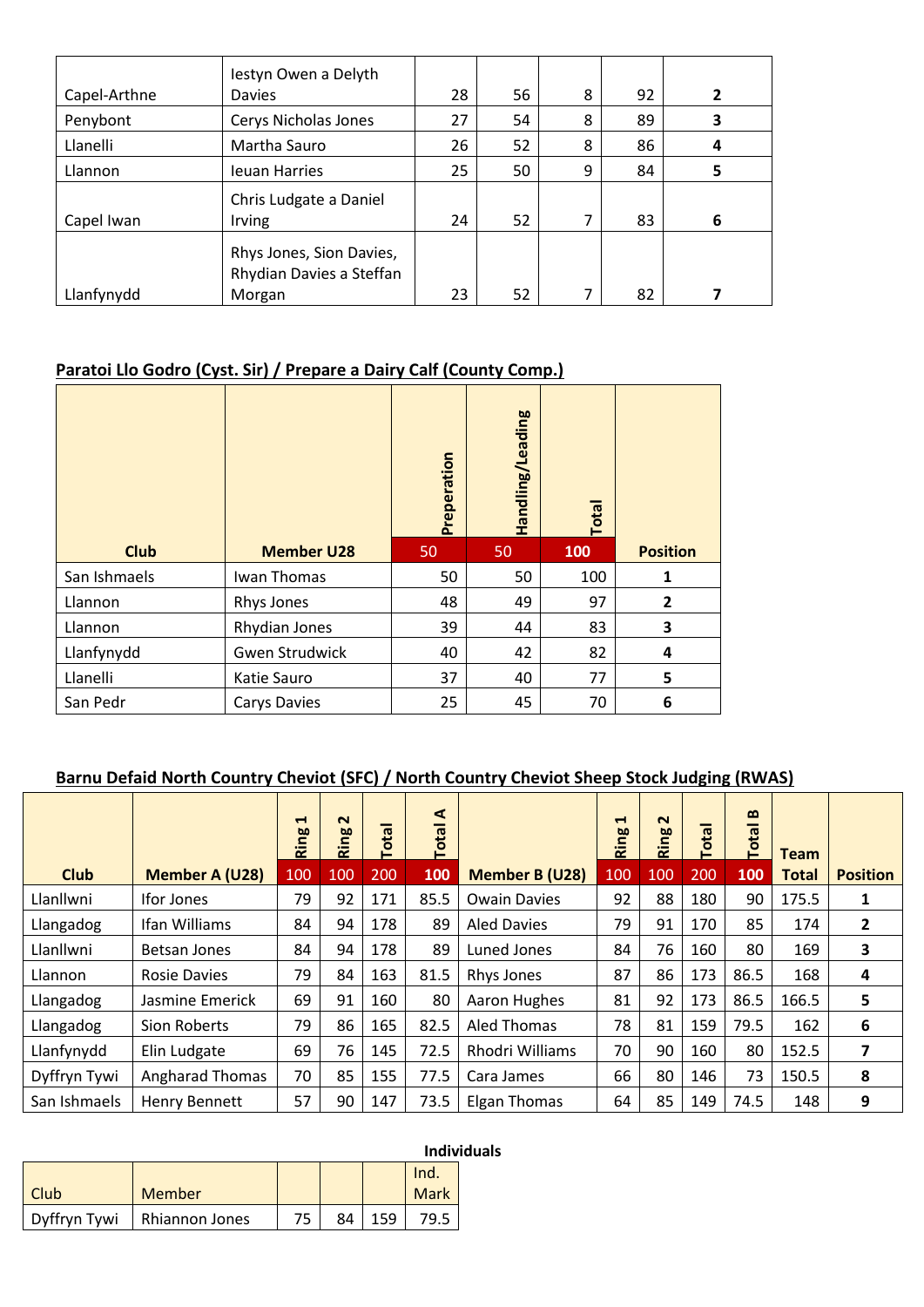| Capel-Arthne | lestyn Owen a Delyth<br>Davies                                 | 28 | 56 | 8 | 92 | $\overline{2}$ |
|--------------|----------------------------------------------------------------|----|----|---|----|----------------|
| Penybont     | Cerys Nicholas Jones                                           | 27 | 54 | 8 | 89 | 3              |
| Llanelli     | Martha Sauro                                                   | 26 | 52 | 8 | 86 | 4              |
| Llannon      | Ieuan Harries                                                  | 25 | 50 | 9 | 84 | 5              |
| Capel Iwan   | Chris Ludgate a Daniel<br>Irving                               | 24 | 52 | 7 | 83 | 6              |
| Llanfynydd   | Rhys Jones, Sion Davies,<br>Rhydian Davies a Steffan<br>Morgan | 23 | 52 |   | 82 |                |

#### **Paratoi Llo Godro (Cyst. Sir) / Prepare a Dairy Calf (County Comp.)**

|              |                       | Preperation | Handling/Leading | Total |                 |
|--------------|-----------------------|-------------|------------------|-------|-----------------|
| <b>Club</b>  | <b>Member U28</b>     | 50          | 50               | 100   | <b>Position</b> |
| San Ishmaels | Iwan Thomas           | 50          | 50               | 100   | 1               |
| Llannon      | Rhys Jones            | 48          | 49               | 97    | $\overline{2}$  |
| Llannon      | Rhydian Jones         | 39          | 44               | 83    | 3               |
| Llanfynydd   | <b>Gwen Strudwick</b> | 40          | 42               | 82    | 4               |
| Llanelli     | Katie Sauro           | 37          | 40               | 77    | 5               |
| San Pedr     | <b>Carys Davies</b>   | 25          | 45               | 70    | 6               |

#### **Barnu Defaid North Country Cheviot (SFC) / North Country Cheviot Sheep Stock Judging (RWAS)**

|              |                        | $\blacktriangleright$<br>Ring | $\sim$<br>Ring | <b>Total</b> | ⋖<br><b>Total</b> |                       | $\mathbf{\mathbf{d}}$<br>Ring | $\sim$<br>Ring | Total | $\boldsymbol{\omega}$<br><b>Total</b> | <b>Team</b>  |                         |
|--------------|------------------------|-------------------------------|----------------|--------------|-------------------|-----------------------|-------------------------------|----------------|-------|---------------------------------------|--------------|-------------------------|
| <b>Club</b>  | Member A (U28)         | 100                           | 100            | 200          | 100               | <b>Member B (U28)</b> | 100                           | 100            | 200   | 100                                   | <b>Total</b> | <b>Position</b>         |
| Llanllwni    | <b>Ifor Jones</b>      | 79                            | 92             | 171          | 85.5              | <b>Owain Davies</b>   | 92                            | 88             | 180   | 90                                    | 175.5        | 1                       |
| Llangadog    | Ifan Williams          | 84                            | 94             | 178          | 89                | <b>Aled Davies</b>    | 79                            | 91             | 170   | 85                                    | 174          | $\overline{\mathbf{2}}$ |
| Llanllwni    | Betsan Jones           | 84                            | 94             | 178          | 89                | Luned Jones           | 84                            | 76             | 160   | 80                                    | 169          | 3                       |
| Llannon      | <b>Rosie Davies</b>    | 79                            | 84             | 163          | 81.5              | Rhys Jones            | 87                            | 86             | 173   | 86.5                                  | 168          | 4                       |
| Llangadog    | Jasmine Emerick        | 69                            | 91             | 160          | 80                | Aaron Hughes          | 81                            | 92             | 173   | 86.5                                  | 166.5        | 5                       |
| Llangadog    | Sion Roberts           | 79                            | 86             | 165          | 82.5              | Aled Thomas           | 78                            | 81             | 159   | 79.5                                  | 162          | 6                       |
| Llanfynydd   | Elin Ludgate           | 69                            | 76             | 145          | 72.5              | Rhodri Williams       | 70                            | 90             | 160   | 80                                    | 152.5        | 7                       |
| Dyffryn Tywi | <b>Angharad Thomas</b> | 70                            | 85             | 155          | 77.5              | Cara James            | 66                            | 80             | 146   | 73                                    | 150.5        | 8                       |
| San Ishmaels | <b>Henry Bennett</b>   | 57                            | 90             | 147          | 73.5              | <b>Elgan Thomas</b>   | 64                            | 85             | 149   | 74.5                                  | 148          | 9                       |

|              |                |    |    | <u>Indivi</u> |
|--------------|----------------|----|----|---------------|
|              |                |    |    | Ind.          |
| Club         | Member         |    |    | Mark          |
| Dyffryn Tywi | Rhiannon Jones | 84 | 59 |               |

## **Individuals**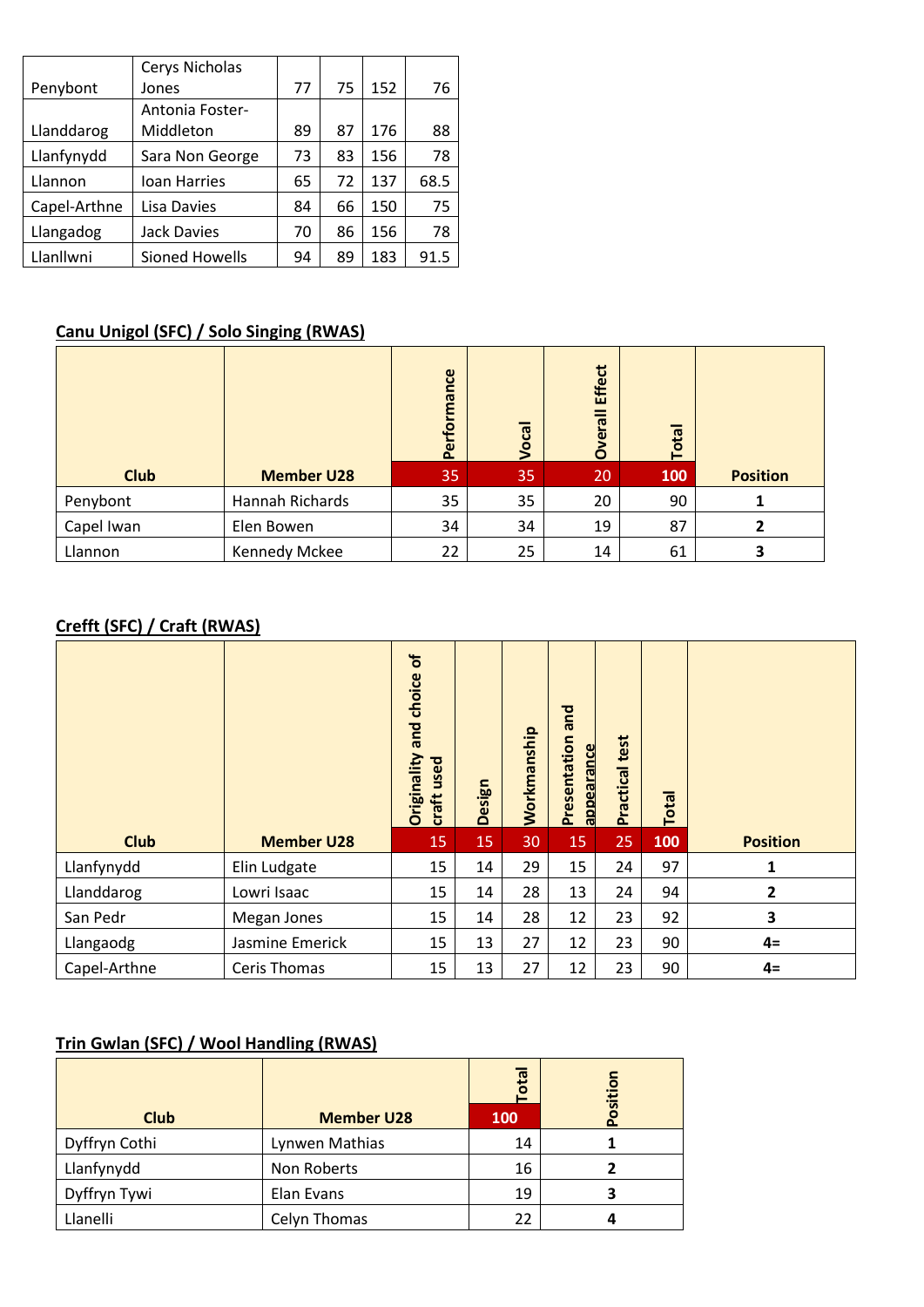|              | Cerys Nicholas         |    |    |     |      |
|--------------|------------------------|----|----|-----|------|
| Penybont     | Jones                  | 77 | 75 | 152 | 76   |
|              | <b>Antonia Foster-</b> |    |    |     |      |
| Llanddarog   | Middleton              | 89 | 87 | 176 | 88   |
| Llanfynydd   | Sara Non George        | 73 | 83 | 156 | 78   |
| Llannon      | Ioan Harries           | 65 | 72 | 137 | 68.5 |
| Capel-Arthne | Lisa Davies            | 84 | 66 | 150 | 75   |
| Llangadog    | <b>Jack Davies</b>     | 70 | 86 | 156 | 78   |
| Llanllwni    | Sioned Howells         | 94 | 89 | 183 | 91.5 |

#### **Canu Unigol (SFC) / Solo Singing (RWAS)**

|             |                   | Performance | Vocal | <b>Effect</b><br>Overall | <b>Total</b> |                 |
|-------------|-------------------|-------------|-------|--------------------------|--------------|-----------------|
| <b>Club</b> | <b>Member U28</b> | 35          | 35    | 20                       | 100          | <b>Position</b> |
| Penybont    | Hannah Richards   | 35          | 35    | 20                       | 90           |                 |
| Capel Iwan  | Elen Bowen        | 34          | 34    | 19                       | 87           | 2               |
| Llannon     | Kennedy Mckee     | 22          | 25    | 14                       | 61           |                 |

#### **Crefft (SFC) / Craft (RWAS)**

|             |                   | $\mathbf{b}$<br>choice<br>and<br>Originality<br>craft used | <b>Design</b> | Workmanship | and<br>Presentation<br>appearance | test<br>Practical | Total |                 |
|-------------|-------------------|------------------------------------------------------------|---------------|-------------|-----------------------------------|-------------------|-------|-----------------|
| <b>Club</b> | <b>Member U28</b> | 15                                                         | 15            | 30          | 15                                | 25                | 100   | <b>Position</b> |
| Llanfynydd  | Elin Ludgate      | 15                                                         | 14            | 29          | 15                                | 24                | 97    | 1               |
| Llanddarog  | Lowri Isaac       | 15                                                         | 14            | 28          | 13                                | 24                | 94    | 2               |
| San Pedr    | Megan Jones       | 15                                                         | 14            | 28          | 12                                | 23                | 92    | 3               |
| Llangaodg   | Jasmine Emerick   | 15                                                         | 13            | 27          | 12                                | 23                | 90    | $4=$            |
|             |                   |                                                            |               |             |                                   |                   |       |                 |

#### **Trin Gwlan (SFC) / Wool Handling (RWAS)**

|               |                   | otal<br>-  | Position |
|---------------|-------------------|------------|----------|
| <b>Club</b>   | <b>Member U28</b> | <b>100</b> |          |
| Dyffryn Cothi | Lynwen Mathias    | 14         |          |
| Llanfynydd    | Non Roberts       | 16         |          |
| Dyffryn Tywi  | Elan Evans        | 19         |          |
| Llanelli      | Celyn Thomas      | 22         |          |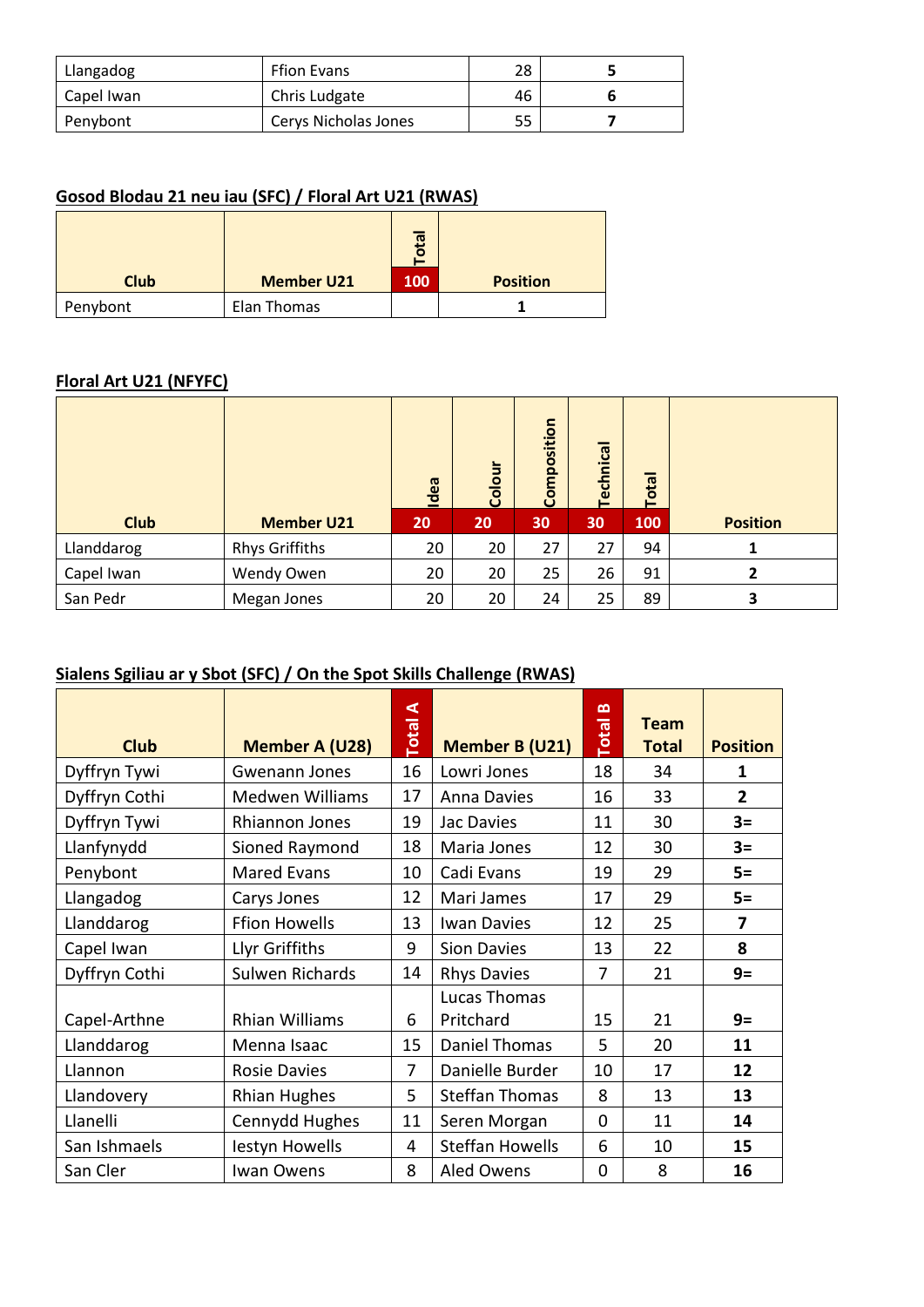| Llangadog  | <b>Ffion Evans</b>   | 28 |  |
|------------|----------------------|----|--|
| Capel Iwan | Chris Ludgate        | 46 |  |
| Penybont   | Cerys Nicholas Jones | 55 |  |

#### **Gosod Blodau 21 neu iau (SFC) / Floral Art U21 (RWAS)**

|             |                   | 屈          |                 |
|-------------|-------------------|------------|-----------------|
| <b>Club</b> | <b>Member U21</b> | <b>100</b> | <b>Position</b> |
| Penybont    | Elan Thomas       |            |                 |

#### **Floral Art U21 (NFYFC)**

|             |                       | Idea | Colour | Composition | Technical | Total |                 |
|-------------|-----------------------|------|--------|-------------|-----------|-------|-----------------|
| <b>Club</b> | <b>Member U21</b>     | 20   | 20     | 30          | 30        | 100   | <b>Position</b> |
| Llanddarog  | <b>Rhys Griffiths</b> | 20   | 20     | 27          | 27        | 94    |                 |
| Capel Iwan  | Wendy Owen            | 20   | 20     | 25          | 26        | 91    | 2               |
| San Pedr    | Megan Jones           | 20   | 20     | 24          | 25        | 89    | 3               |

#### **Sialens Sgiliau ar y Sbot (SFC) / On the Spot Skills Challenge (RWAS)**

| <b>Club</b>   | <b>Member A (U28)</b>  | ⋖<br>Total     | <b>Member B (U21)</b>     | ≃<br><b>Total</b> | <b>Team</b><br><b>Total</b> | <b>Position</b> |
|---------------|------------------------|----------------|---------------------------|-------------------|-----------------------------|-----------------|
| Dyffryn Tywi  | Gwenann Jones          | 16             | Lowri Jones               | 18                | 34                          | 1               |
| Dyffryn Cothi | <b>Medwen Williams</b> | 17             | <b>Anna Davies</b>        | 16                | 33                          | $\overline{2}$  |
| Dyffryn Tywi  | Rhiannon Jones         | 19             | Jac Davies                | 11                | 30                          | $3=$            |
| Llanfynydd    | Sioned Raymond         | 18             | Maria Jones               | 12                | 30                          | $3=$            |
| Penybont      | <b>Mared Evans</b>     | 10             | Cadi Evans                | 19                | 29                          | $5=$            |
| Llangadog     | Carys Jones            | 12             | Mari James                | 17                | 29                          | $5=$            |
| Llanddarog    | <b>Ffion Howells</b>   | 13             | <b>Iwan Davies</b>        | 12                | 25                          | 7               |
| Capel Iwan    | Llyr Griffiths         | 9              | <b>Sion Davies</b>        | 13                | 22                          | 8               |
| Dyffryn Cothi | Sulwen Richards        | 14             | <b>Rhys Davies</b>        | 7                 | 21                          | $9=$            |
| Capel-Arthne  | <b>Rhian Williams</b>  | 6              | Lucas Thomas<br>Pritchard | 15                | 21                          | $9=$            |
| Llanddarog    | Menna Isaac            | 15             | <b>Daniel Thomas</b>      | 5                 | 20                          | 11              |
| Llannon       | <b>Rosie Davies</b>    | $\overline{7}$ | Danielle Burder           | 10                | 17                          | 12              |
| Llandovery    | <b>Rhian Hughes</b>    | 5              | <b>Steffan Thomas</b>     | 8                 | 13                          | 13              |
| Llanelli      | Cennydd Hughes         | 11             | Seren Morgan              | 0                 | 11                          | 14              |
| San Ishmaels  | lestyn Howells         | $\overline{4}$ | <b>Steffan Howells</b>    | 6                 | 10                          | 15              |
| San Cler      | Iwan Owens             | 8              | <b>Aled Owens</b>         | 0                 | 8                           | 16              |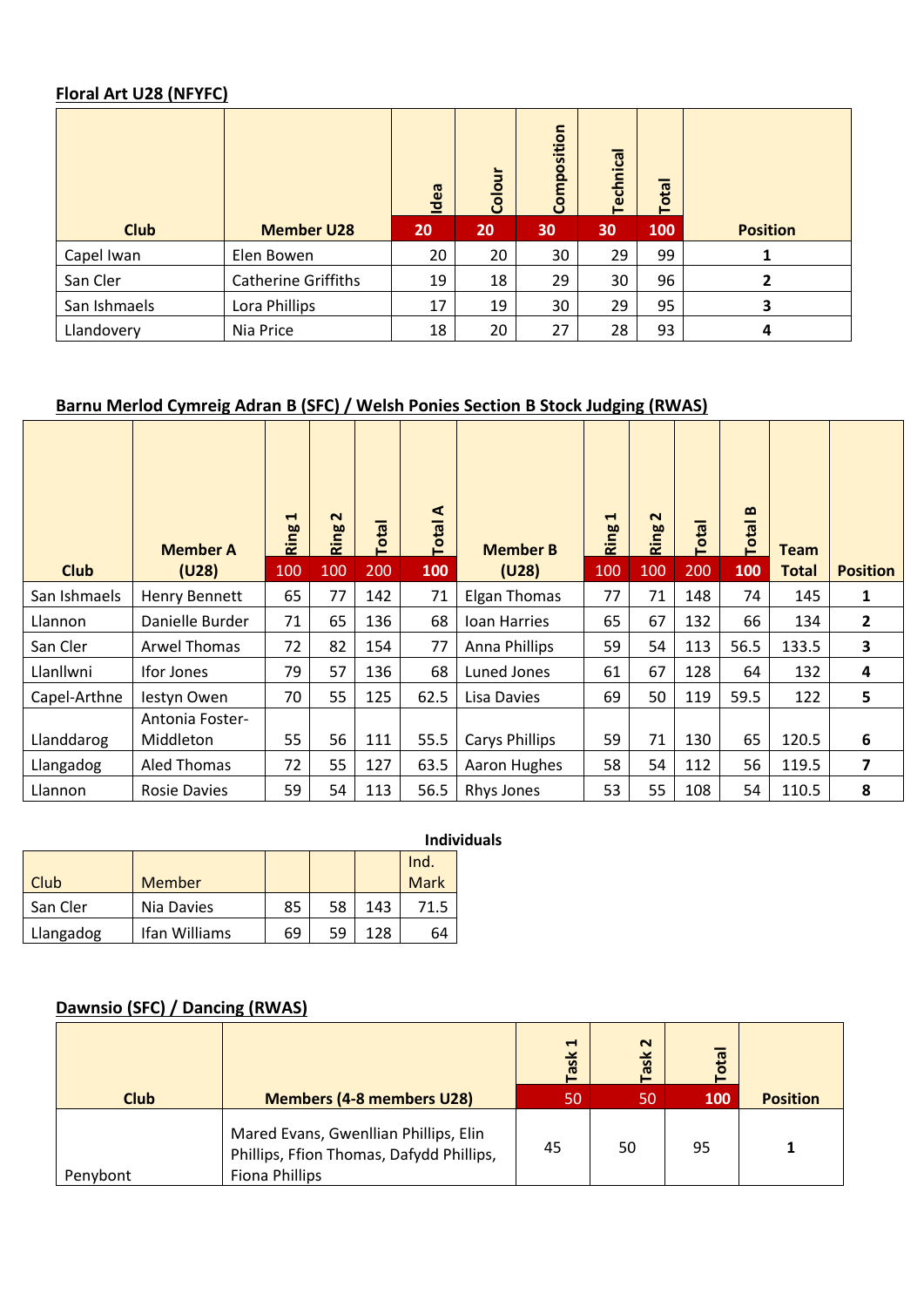#### **Floral Art U28 (NFYFC)**

|              |                            | ldea | $\overline{\overline{5}}$<br>Color | Composition | Technica | Total |                 |
|--------------|----------------------------|------|------------------------------------|-------------|----------|-------|-----------------|
| <b>Club</b>  | <b>Member U28</b>          | 20   | 20                                 | 30          | 30       | 100   | <b>Position</b> |
| Capel Iwan   | Elen Bowen                 | 20   | 20                                 | 30          | 29       | 99    |                 |
| San Cler     | <b>Catherine Griffiths</b> | 19   | 18                                 | 29          | 30       | 96    | $\overline{2}$  |
| San Ishmaels | Lora Phillips              | 17   | 19                                 | 30          | 29       | 95    | 3               |
| Llandovery   | Nia Price                  | 18   | 20                                 | 27          | 28       | 93    | 4               |

#### **Barnu Merlod Cymreig Adran B (SFC) / Welsh Ponies Section B Stock Judging (RWAS)**

|              | <b>Member A</b>                     | ᆸ<br>Ring | $\sim$<br>Ring | Total | ⋖<br><b>Total</b> | <b>Member B</b>     | $\blacksquare$<br>Ring | $\sim$<br>Ring | Total | $\mathbf{a}$<br>Total |                      |                 |
|--------------|-------------------------------------|-----------|----------------|-------|-------------------|---------------------|------------------------|----------------|-------|-----------------------|----------------------|-----------------|
| <b>Club</b>  | (U28)                               | 100       | 100            | 200   | 100               | (U28)               | 100                    | 100            | 200   | 100                   | <b>Team</b><br>Total | <b>Position</b> |
| San Ishmaels | Henry Bennett                       | 65        | 77             | 142   | 71                | <b>Elgan Thomas</b> | 77                     | 71             | 148   | 74                    | 145                  | 1               |
| Llannon      | Danielle Burder                     | 71        | 65             | 136   | 68                | Ioan Harries        | 65                     | 67             | 132   | 66                    | 134                  | $\overline{2}$  |
| San Cler     | <b>Arwel Thomas</b>                 | 72        | 82             | 154   | 77                | Anna Phillips       | 59                     | 54             | 113   | 56.5                  | 133.5                | 3               |
| Llanllwni    | <b>Ifor Jones</b>                   | 79        | 57             | 136   | 68                | Luned Jones         | 61                     | 67             | 128   | 64                    | 132                  | 4               |
| Capel-Arthne | lestyn Owen                         | 70        | 55             | 125   | 62.5              | Lisa Davies         | 69                     | 50             | 119   | 59.5                  | 122                  | 5               |
| Llanddarog   | <b>Antonia Foster-</b><br>Middleton | 55        | 56             | 111   | 55.5              | Carys Phillips      | 59                     | 71             | 130   | 65                    | 120.5                | 6               |
| Llangadog    | <b>Aled Thomas</b>                  | 72        | 55             | 127   | 63.5              | Aaron Hughes        | 58                     | 54             | 112   | 56                    | 119.5                | 7               |
| Llannon      | <b>Rosie Davies</b>                 | 59        | 54             | 113   | 56.5              | Rhys Jones          | 53                     | 55             | 108   | 54                    | 110.5                | 8               |

|           |               |    |    |     |             | <b>Individuals</b> |
|-----------|---------------|----|----|-----|-------------|--------------------|
|           |               |    |    |     | Ind.        |                    |
| Club      | Member        |    |    |     | <b>Mark</b> |                    |
| San Cler  | Nia Davies    | 85 | 58 | 143 | 71.5        |                    |
| Llangadog | Ifan Williams | 69 | 59 | 128 | 64          |                    |

#### **Dawnsio (SFC) / Dancing (RWAS)**

| <b>Club</b> | <b>Members (4-8 members U28)</b>                                                                           | $\blacktriangleleft$<br>ask<br>50 | $\sim$<br>Task<br>50 | otal<br>100 | <b>Position</b> |
|-------------|------------------------------------------------------------------------------------------------------------|-----------------------------------|----------------------|-------------|-----------------|
| Penybont    | Mared Evans, Gwenllian Phillips, Elin<br>Phillips, Ffion Thomas, Dafydd Phillips,<br><b>Fiona Phillips</b> | 45                                | 50                   | 95          | 1               |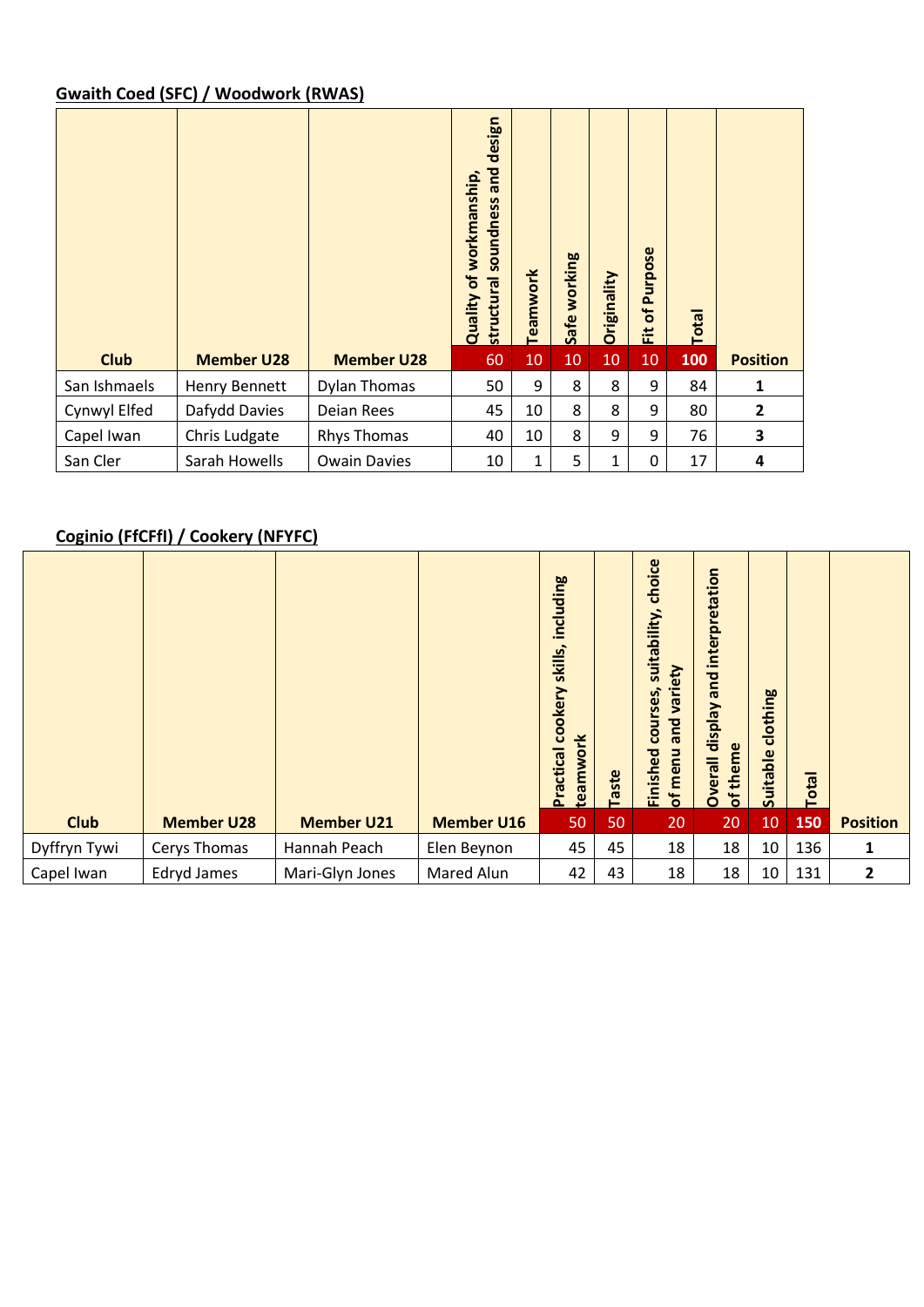#### **Gwaith Coed (SFC) / Woodwork (RWAS)**

|              |                      |                     | design<br>and<br>workmanship,<br>soundness<br>Quality of<br>structural | Teamwork | Safe working | Originality | Purpose<br>$\mathbf{a}$<br>置 | <b>Total</b> |                 |
|--------------|----------------------|---------------------|------------------------------------------------------------------------|----------|--------------|-------------|------------------------------|--------------|-----------------|
| <b>Club</b>  | <b>Member U28</b>    | <b>Member U28</b>   | 60                                                                     | 10       | 10           | 10          | 10                           | 100          | <b>Position</b> |
| San Ishmaels | <b>Henry Bennett</b> | Dylan Thomas        | 50                                                                     | 9        | 8            | 8           | 9                            | 84           | 1               |
| Cynwyl Elfed | Dafydd Davies        | Deian Rees          | 45                                                                     | 10       | 8            | 8           | 9                            | 80           | $\overline{2}$  |
| Capel Iwan   | Chris Ludgate        | <b>Rhys Thomas</b>  | 40                                                                     | 10       | 8            | 9           | 9                            | 76           | 3               |
| San Cler     | Sarah Howells        | <b>Owain Davies</b> | 10                                                                     | 1        | 5            | 1           | 0                            | 17           | 4               |

#### **Coginio (FfCFfI) / Cookery (NFYFC)**

|              |                   |                   |                   | including<br>skills,<br>cookery<br>teamwork<br><b>Practical</b> | Taste | choice<br>suitability,<br>variety<br>courses,<br>and<br>menu<br>Finished<br>đ | Overall display and interpretation<br>of theme | clothing<br>Suitable | <b>Total</b> |                 |
|--------------|-------------------|-------------------|-------------------|-----------------------------------------------------------------|-------|-------------------------------------------------------------------------------|------------------------------------------------|----------------------|--------------|-----------------|
| <b>Club</b>  | <b>Member U28</b> | <b>Member U21</b> | <b>Member U16</b> | 50                                                              | 50    | 20                                                                            | 20                                             | 10                   | 150          | <b>Position</b> |
| Dyffryn Tywi | Cerys Thomas      | Hannah Peach      | Elen Beynon       | 45                                                              | 45    | 18                                                                            | 18                                             | 10                   | 136          | 1               |
| Capel Iwan   | Edryd James       | Mari-Glyn Jones   | Mared Alun        | 42                                                              | 43    | 18                                                                            | 18                                             | 10                   | 131          | 2               |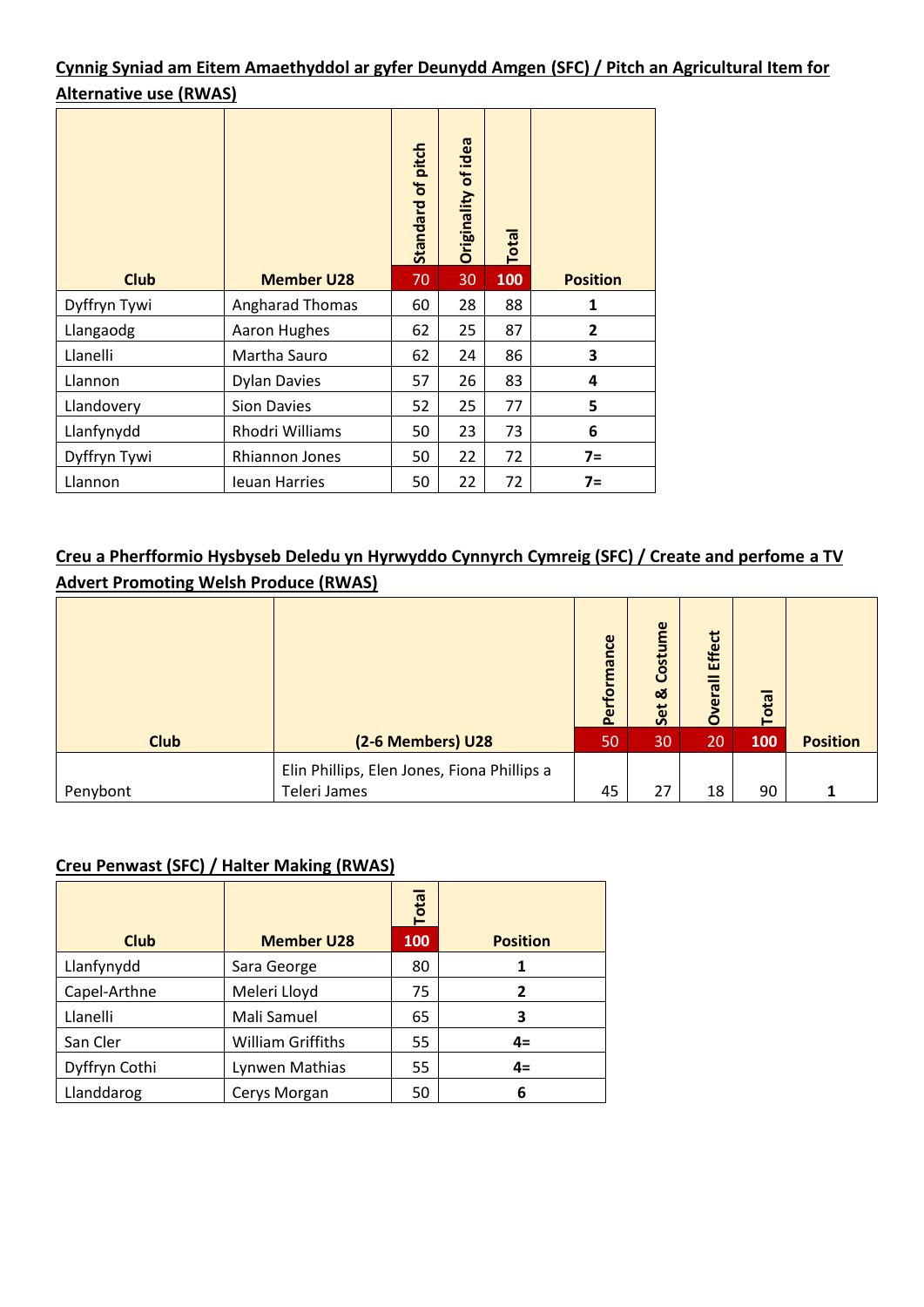#### **Cynnig Syniad am Eitem Amaethyddol ar gyfer Deunydd Amgen (SFC) / Pitch an Agricultural Item for Alternative use (RWAS)**

|              |                      |    | Originality of idea | Total |                 |
|--------------|----------------------|----|---------------------|-------|-----------------|
| <b>Club</b>  | <b>Member U28</b>    | 70 | 30                  | 100   | <b>Position</b> |
| Dyffryn Tywi | Angharad Thomas      | 60 | 28                  | 88    | $\mathbf{1}$    |
| Llangaodg    | Aaron Hughes         | 62 | 25                  | 87    | $\mathbf{2}$    |
| Llanelli     | Martha Sauro         | 62 | 24                  | 86    | 3               |
| Llannon      | <b>Dylan Davies</b>  | 57 | 26                  | 83    | 4               |
| Llandovery   | <b>Sion Davies</b>   | 52 | 25                  | 77    | 5               |
| Llanfynydd   | Rhodri Williams      | 50 | 23                  | 73    | 6               |
| Dyffryn Tywi | Rhiannon Jones       | 50 | 22                  | 72    | $7 =$           |
| Llannon      | <b>Ieuan Harries</b> | 50 | 22                  | 72    | $7=$            |

#### **Creu a Pherfformio Hysbyseb Deledu yn Hyrwyddo Cynnyrch Cymreig (SFC) / Create and perfome a TV Advert Promoting Welsh Produce (RWAS)**

|             |                                                             | Performance | Costume<br>ಹ<br>Set | <b>Effect</b><br>Overall | <b>Total</b> |                 |
|-------------|-------------------------------------------------------------|-------------|---------------------|--------------------------|--------------|-----------------|
| <b>Club</b> | (2-6 Members) U28                                           | 50          | 30                  | 20                       | 100          | <b>Position</b> |
| Penybont    | Elin Phillips, Elen Jones, Fiona Phillips a<br>Teleri James | 45          | 27                  | 18                       | 90           |                 |

## **Creu Penwast (SFC) / Halter Making (RWAS)**

|               |                          | Total |                 |
|---------------|--------------------------|-------|-----------------|
| <b>Club</b>   | <b>Member U28</b>        | 100   | <b>Position</b> |
| Llanfynydd    | Sara George              | 80    |                 |
| Capel-Arthne  | Meleri Lloyd             | 75    | $\mathbf{z}$    |
| Llanelli      | Mali Samuel              | 65    | 3               |
| San Cler      | <b>William Griffiths</b> | 55    | $4=$            |
| Dyffryn Cothi | Lynwen Mathias           | 55    | $4=$            |
| Llanddarog    | Cerys Morgan             | 50    | 6               |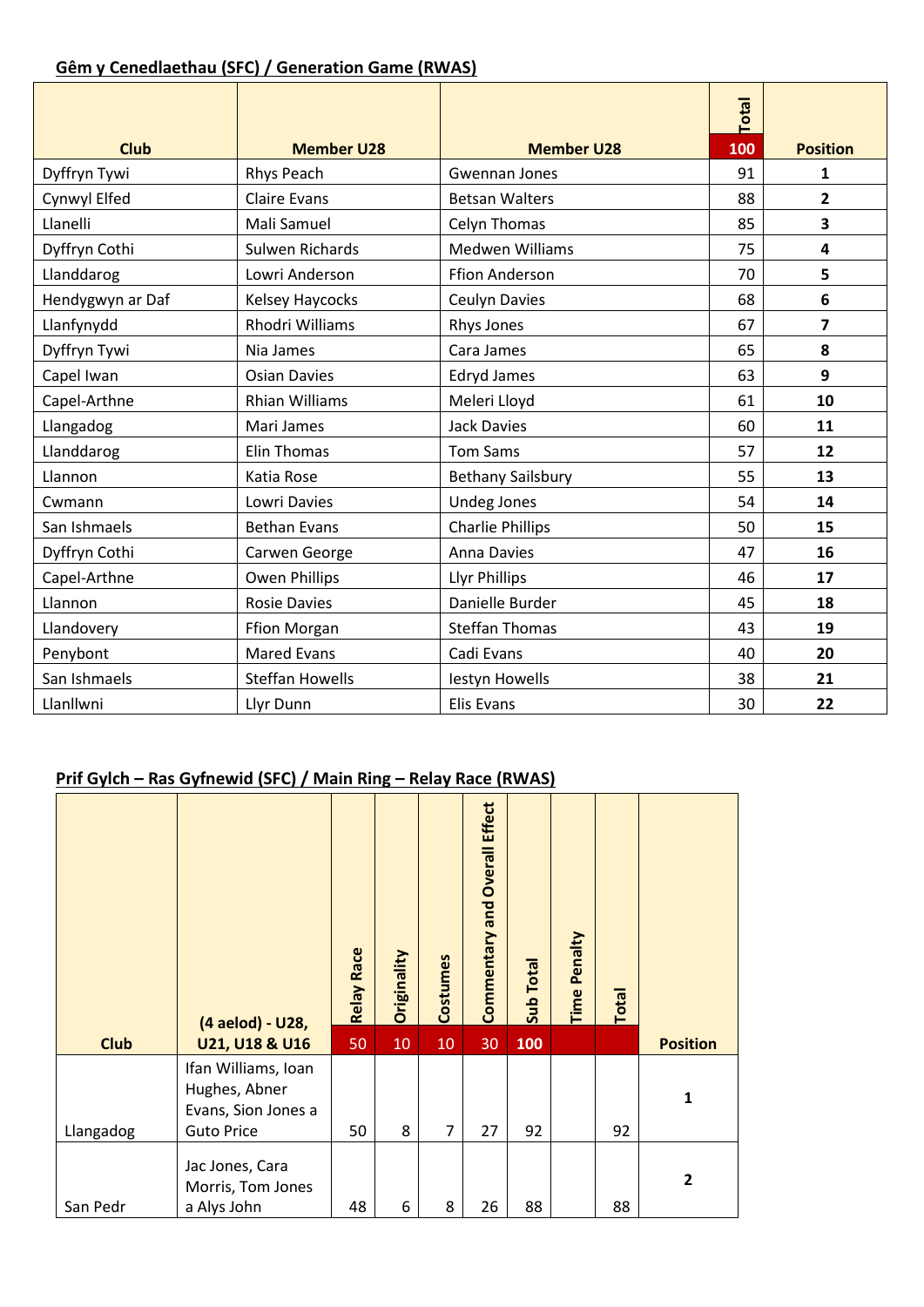#### **Gêm y Cenedlaethau (SFC) / Generation Game (RWAS)**

| <b>Club</b>      | <b>Member U28</b>      | <b>Member U28</b>        | <b>Total</b><br>100 | <b>Position</b>         |
|------------------|------------------------|--------------------------|---------------------|-------------------------|
| Dyffryn Tywi     | Rhys Peach             | Gwennan Jones            | 91                  | $\mathbf{1}$            |
| Cynwyl Elfed     | <b>Claire Evans</b>    | <b>Betsan Walters</b>    | 88                  | $\overline{2}$          |
| Llanelli         | Mali Samuel            | Celyn Thomas             | 85                  | 3                       |
| Dyffryn Cothi    | <b>Sulwen Richards</b> | <b>Medwen Williams</b>   | 75                  | $\overline{\mathbf{4}}$ |
| Llanddarog       | Lowri Anderson         | <b>Ffion Anderson</b>    | 70                  | 5                       |
| Hendygwyn ar Daf | Kelsey Haycocks        | <b>Ceulyn Davies</b>     | 68                  | 6                       |
| Llanfynydd       | Rhodri Williams        | Rhys Jones               | 67                  | 7                       |
| Dyffryn Tywi     | Nia James              | Cara James               | 65                  | 8                       |
| Capel Iwan       | <b>Osian Davies</b>    | <b>Edryd James</b>       | 63                  | 9                       |
| Capel-Arthne     | <b>Rhian Williams</b>  | Meleri Lloyd             | 61                  | 10                      |
| Llangadog        | Mari James             | <b>Jack Davies</b>       | 60                  | 11                      |
| Llanddarog       | <b>Elin Thomas</b>     | <b>Tom Sams</b>          | 57                  | 12                      |
| Llannon          | Katia Rose             | <b>Bethany Sailsbury</b> | 55                  | 13                      |
| Cwmann           | Lowri Davies           | <b>Undeg Jones</b>       | 54                  | 14                      |
| San Ishmaels     | <b>Bethan Evans</b>    | <b>Charlie Phillips</b>  | 50                  | 15                      |
| Dyffryn Cothi    | Carwen George          | <b>Anna Davies</b>       | 47                  | 16                      |
| Capel-Arthne     | <b>Owen Phillips</b>   | <b>Llyr Phillips</b>     | 46                  | 17                      |
| Llannon          | <b>Rosie Davies</b>    | Danielle Burder          | 45                  | 18                      |
| Llandovery       | <b>Ffion Morgan</b>    | <b>Steffan Thomas</b>    | 43                  | 19                      |
| Penybont         | <b>Mared Evans</b>     | Cadi Evans               | 40                  | 20                      |
| San Ishmaels     | <b>Steffan Howells</b> | lestyn Howells           | 38                  | 21                      |
| Llanllwni        | Llyr Dunn              | <b>Elis Evans</b>        | 30                  | 22                      |

#### **Prif Gylch – Ras Gyfnewid (SFC) / Main Ring – Relay Race (RWAS)**

|             | (4 aelod) - U28,                                                                 | <b>Relay Race</b> | Originality | Costumes       | <b>Overall Effect</b><br>Commentary and | <b>Sub Total</b> | Penalty<br>Time | Total |                 |
|-------------|----------------------------------------------------------------------------------|-------------------|-------------|----------------|-----------------------------------------|------------------|-----------------|-------|-----------------|
| <b>Club</b> | U21, U18 & U16                                                                   | 50                | 10          | 10             | 30                                      | 100              |                 |       | <b>Position</b> |
| Llangadog   | Ifan Williams, Ioan<br>Hughes, Abner<br>Evans, Sion Jones a<br><b>Guto Price</b> | 50                | 8           | $\overline{7}$ | 27                                      | 92               |                 | 92    | 1               |
| San Pedr    | Jac Jones, Cara<br>Morris, Tom Jones<br>a Alys John                              | 48                | 6           | 8              | 26                                      | 88               |                 | 88    | $\overline{2}$  |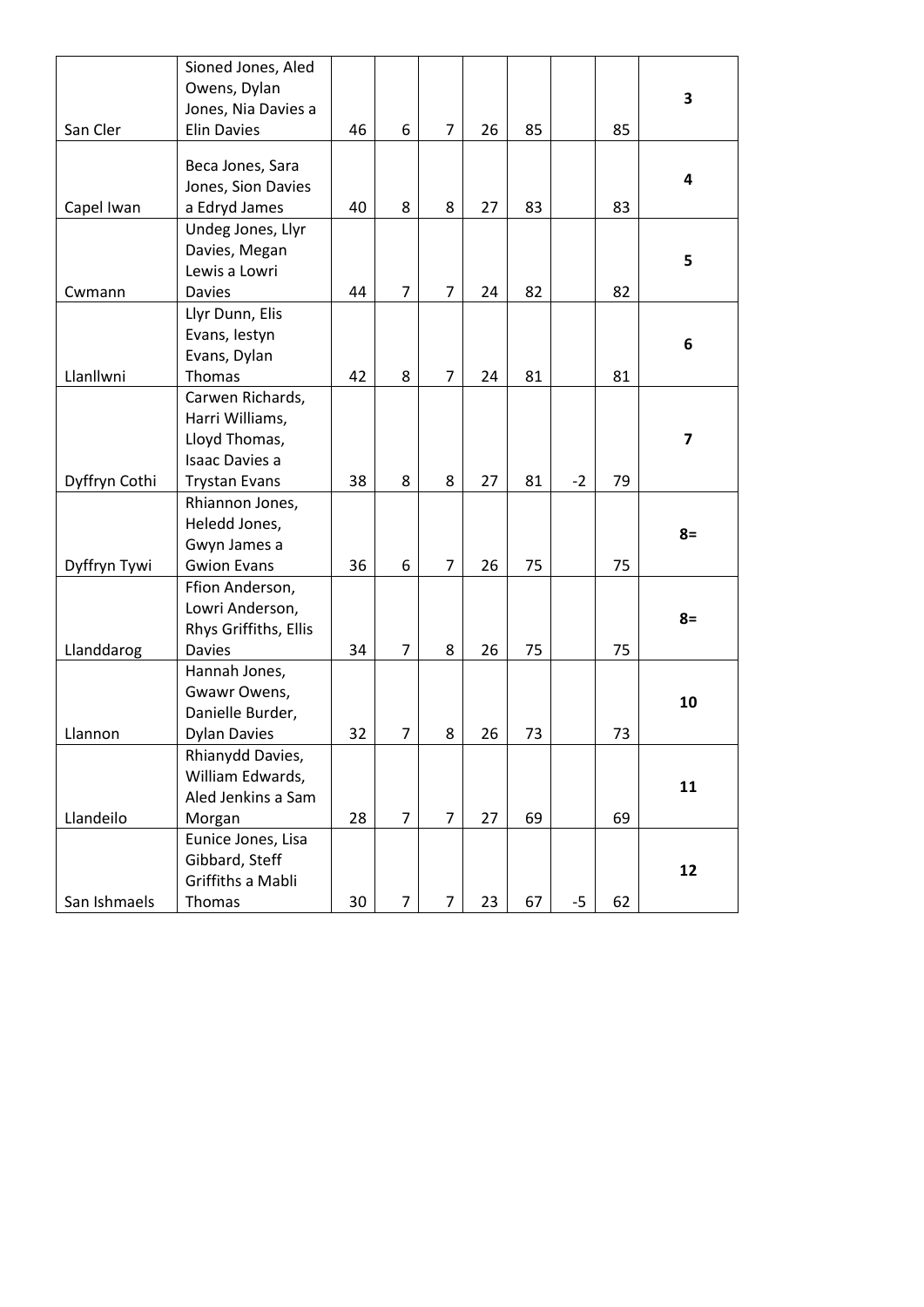| Owens, Dylan<br>3<br>Jones, Nia Davies a<br>San Cler<br><b>Elin Davies</b><br>6<br>$\overline{7}$<br>85<br>85<br>46<br>26<br>Beca Jones, Sara<br>4<br>Jones, Sion Davies<br>Capel Iwan<br>40<br>8<br>83<br>a Edryd James<br>8<br>27<br>83<br>Undeg Jones, Llyr<br>Davies, Megan<br>5<br>Lewis a Lowri<br>$\overline{7}$<br>$\overline{7}$<br>82<br>82<br><b>Davies</b><br>44<br>24<br>Cwmann<br>Llyr Dunn, Elis<br>Evans, lestyn<br>6<br>Evans, Dylan<br>Llanllwni<br>Thomas<br>42<br>8<br>$\overline{7}$<br>81<br>81<br>24<br>Carwen Richards,<br>Harri Williams,<br>Lloyd Thomas,<br>$\overline{\mathbf{z}}$<br>Isaac Davies a |
|----------------------------------------------------------------------------------------------------------------------------------------------------------------------------------------------------------------------------------------------------------------------------------------------------------------------------------------------------------------------------------------------------------------------------------------------------------------------------------------------------------------------------------------------------------------------------------------------------------------------------------|
|                                                                                                                                                                                                                                                                                                                                                                                                                                                                                                                                                                                                                                  |
|                                                                                                                                                                                                                                                                                                                                                                                                                                                                                                                                                                                                                                  |
|                                                                                                                                                                                                                                                                                                                                                                                                                                                                                                                                                                                                                                  |
|                                                                                                                                                                                                                                                                                                                                                                                                                                                                                                                                                                                                                                  |
|                                                                                                                                                                                                                                                                                                                                                                                                                                                                                                                                                                                                                                  |
|                                                                                                                                                                                                                                                                                                                                                                                                                                                                                                                                                                                                                                  |
|                                                                                                                                                                                                                                                                                                                                                                                                                                                                                                                                                                                                                                  |
|                                                                                                                                                                                                                                                                                                                                                                                                                                                                                                                                                                                                                                  |
|                                                                                                                                                                                                                                                                                                                                                                                                                                                                                                                                                                                                                                  |
|                                                                                                                                                                                                                                                                                                                                                                                                                                                                                                                                                                                                                                  |
|                                                                                                                                                                                                                                                                                                                                                                                                                                                                                                                                                                                                                                  |
|                                                                                                                                                                                                                                                                                                                                                                                                                                                                                                                                                                                                                                  |
|                                                                                                                                                                                                                                                                                                                                                                                                                                                                                                                                                                                                                                  |
|                                                                                                                                                                                                                                                                                                                                                                                                                                                                                                                                                                                                                                  |
|                                                                                                                                                                                                                                                                                                                                                                                                                                                                                                                                                                                                                                  |
|                                                                                                                                                                                                                                                                                                                                                                                                                                                                                                                                                                                                                                  |
|                                                                                                                                                                                                                                                                                                                                                                                                                                                                                                                                                                                                                                  |
|                                                                                                                                                                                                                                                                                                                                                                                                                                                                                                                                                                                                                                  |
|                                                                                                                                                                                                                                                                                                                                                                                                                                                                                                                                                                                                                                  |
| Dyffryn Cothi<br>38<br>8<br>8<br>27<br>81<br>$-2$<br>79<br><b>Trystan Evans</b>                                                                                                                                                                                                                                                                                                                                                                                                                                                                                                                                                  |
| Rhiannon Jones,                                                                                                                                                                                                                                                                                                                                                                                                                                                                                                                                                                                                                  |
| Heledd Jones,                                                                                                                                                                                                                                                                                                                                                                                                                                                                                                                                                                                                                    |
| $8=$<br>Gwyn James a                                                                                                                                                                                                                                                                                                                                                                                                                                                                                                                                                                                                             |
| $\overline{7}$<br>Dyffryn Tywi<br><b>Gwion Evans</b><br>36<br>6<br>26<br>75<br>75                                                                                                                                                                                                                                                                                                                                                                                                                                                                                                                                                |
| Ffion Anderson,                                                                                                                                                                                                                                                                                                                                                                                                                                                                                                                                                                                                                  |
| Lowri Anderson,                                                                                                                                                                                                                                                                                                                                                                                                                                                                                                                                                                                                                  |
| $8=$<br>Rhys Griffiths, Ellis                                                                                                                                                                                                                                                                                                                                                                                                                                                                                                                                                                                                    |
| $\overline{7}$<br>Llanddarog<br>8<br>26<br>75<br>75<br><b>Davies</b><br>34                                                                                                                                                                                                                                                                                                                                                                                                                                                                                                                                                       |
| Hannah Jones,                                                                                                                                                                                                                                                                                                                                                                                                                                                                                                                                                                                                                    |
| Gwawr Owens,                                                                                                                                                                                                                                                                                                                                                                                                                                                                                                                                                                                                                     |
| 10<br>Danielle Burder,                                                                                                                                                                                                                                                                                                                                                                                                                                                                                                                                                                                                           |
| $\overline{7}$<br><b>Dylan Davies</b><br>32<br>8<br>26<br>73<br>73<br>Llannon                                                                                                                                                                                                                                                                                                                                                                                                                                                                                                                                                    |
| Rhianydd Davies,                                                                                                                                                                                                                                                                                                                                                                                                                                                                                                                                                                                                                 |
| William Edwards,                                                                                                                                                                                                                                                                                                                                                                                                                                                                                                                                                                                                                 |
| 11<br>Aled Jenkins a Sam                                                                                                                                                                                                                                                                                                                                                                                                                                                                                                                                                                                                         |
| Llandeilo<br>$\overline{7}$<br>$\overline{7}$<br>28<br>27<br>69<br>69<br>Morgan                                                                                                                                                                                                                                                                                                                                                                                                                                                                                                                                                  |
| Eunice Jones, Lisa                                                                                                                                                                                                                                                                                                                                                                                                                                                                                                                                                                                                               |
| Gibbard, Steff                                                                                                                                                                                                                                                                                                                                                                                                                                                                                                                                                                                                                   |
| 12<br>Griffiths a Mabli                                                                                                                                                                                                                                                                                                                                                                                                                                                                                                                                                                                                          |
| $\overline{7}$<br>67<br>San Ishmaels<br>Thomas<br>$\overline{7}$<br>23<br>$-5$<br>62<br>30                                                                                                                                                                                                                                                                                                                                                                                                                                                                                                                                       |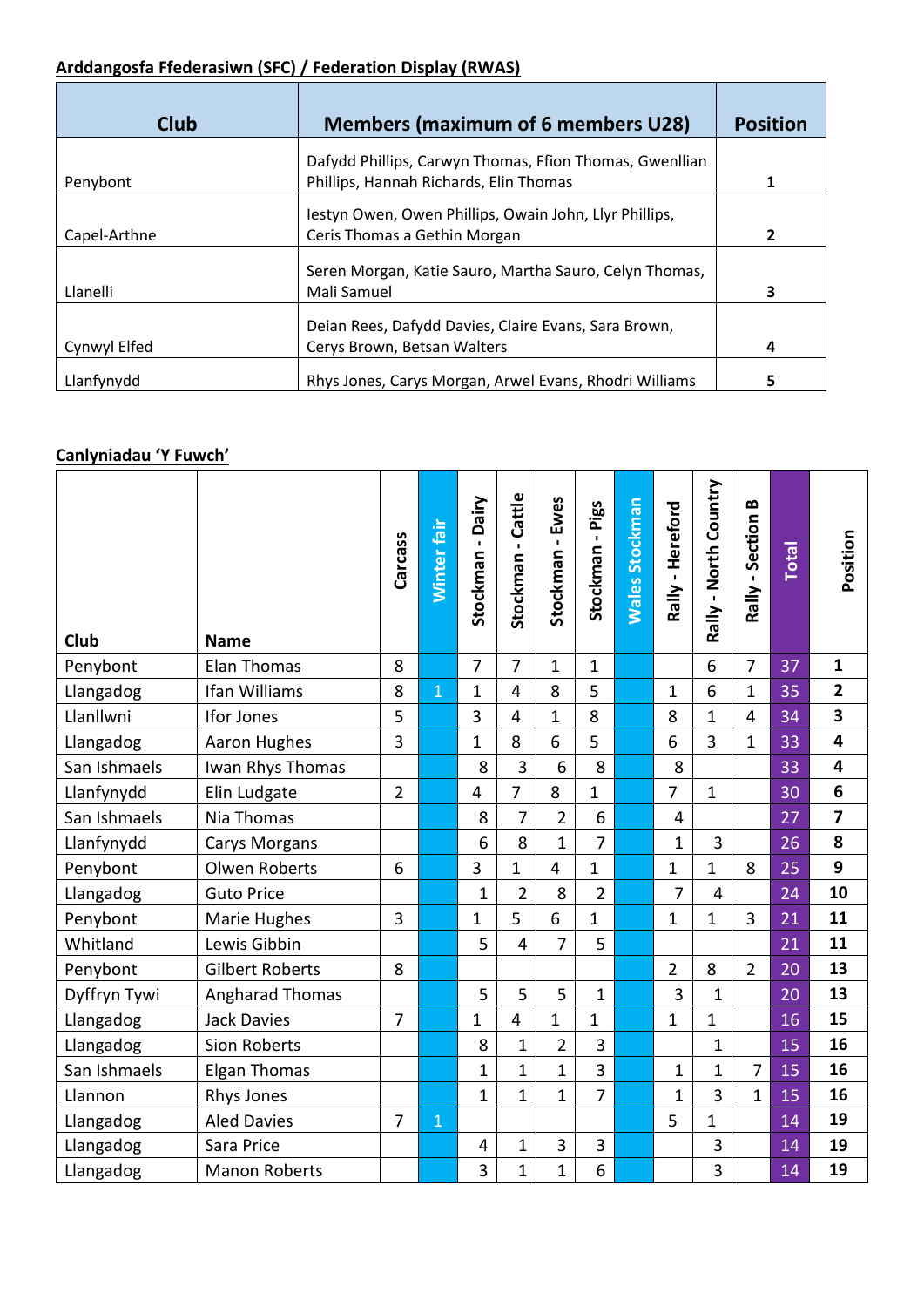# **Arddangosfa Ffederasiwn (SFC) / Federation Display (RWAS)**

| <b>Club</b>  | <b>Members (maximum of 6 members U28)</b>                                                         | <b>Position</b> |
|--------------|---------------------------------------------------------------------------------------------------|-----------------|
| Penybont     | Dafydd Phillips, Carwyn Thomas, Ffion Thomas, Gwenllian<br>Phillips, Hannah Richards, Elin Thomas |                 |
| Capel-Arthne | lestyn Owen, Owen Phillips, Owain John, Llyr Phillips,<br>Ceris Thomas a Gethin Morgan            | 2               |
| Llanelli     | Seren Morgan, Katie Sauro, Martha Sauro, Celyn Thomas,<br>Mali Samuel                             | 3               |
| Cynwyl Elfed | Deian Rees, Dafydd Davies, Claire Evans, Sara Brown,<br>Cerys Brown, Betsan Walters               | 4               |
| Llanfynydd   | Rhys Jones, Carys Morgan, Arwel Evans, Rhodri Williams                                            | 5               |

#### **Canlyniadau 'Y Fuwch'**

| Club         | <b>Name</b>            | Carcass        | Winter fair    | <b>Dairy</b><br>Stockman- | Cattle<br>Stockman- | Stockman - Ewes | Stockman - Pigs | <b>Wales Stockman</b> | Rally - Hereford | Rally - North Country | $\bf{z}$<br>Rally - Section | <b>Total</b> | Position        |
|--------------|------------------------|----------------|----------------|---------------------------|---------------------|-----------------|-----------------|-----------------------|------------------|-----------------------|-----------------------------|--------------|-----------------|
| Penybont     | Elan Thomas            | 8              |                | $\overline{7}$            | 7                   | $\mathbf{1}$    | $\mathbf{1}$    |                       |                  | 6                     | $\overline{7}$              | 37           | 1               |
| Llangadog    | Ifan Williams          | 8              | $\overline{1}$ | $\mathbf 1$               | 4                   | 8               | 5               |                       | $\mathbf{1}$     | 6                     | $\mathbf 1$                 | 35           | $\overline{2}$  |
| Llanllwni    | Ifor Jones             | 5              |                | 3                         | $\overline{4}$      | $\mathbf{1}$    | 8               |                       | 8                | $\overline{1}$        | $\overline{4}$              | 34           | 3               |
| Llangadog    | <b>Aaron Hughes</b>    | 3              |                | $\mathbf{1}$              | 8                   | 6               | 5               |                       | 6                | 3                     | 1                           | 33           | 4               |
| San Ishmaels | Iwan Rhys Thomas       |                |                | 8                         | 3                   | 6               | 8               |                       | 8                |                       |                             | 33           | 4               |
| Llanfynydd   | Elin Ludgate           | $\overline{2}$ |                | $\overline{4}$            | $\overline{7}$      | 8               | $\mathbf{1}$    |                       | $\overline{7}$   | $\mathbf 1$           |                             | 30           | $6\phantom{1}6$ |
| San Ishmaels | Nia Thomas             |                |                | 8                         | 7                   | $\overline{2}$  | 6               |                       | 4                |                       |                             | 27           | 7               |
| Llanfynydd   | <b>Carys Morgans</b>   |                |                | 6                         | 8                   | $\mathbf{1}$    | $\overline{7}$  |                       | $\overline{1}$   | 3                     |                             | 26           | 8               |
| Penybont     | <b>Olwen Roberts</b>   | 6              |                | 3                         | $\mathbf{1}$        | $\overline{4}$  | $\mathbf{1}$    |                       | $\mathbf{1}$     | $\overline{1}$        | 8                           | 25           | 9               |
| Llangadog    | <b>Guto Price</b>      |                |                | $\mathbf{1}$              | $\overline{2}$      | 8               | $\overline{2}$  |                       | 7                | 4                     |                             | 24           | 10              |
| Penybont     | Marie Hughes           | 3              |                | $\mathbf{1}$              | 5                   | 6               | $\mathbf{1}$    |                       | $\mathbf{1}$     | $\mathbf 1$           | 3                           | 21           | 11              |
| Whitland     | Lewis Gibbin           |                |                | 5                         | $\overline{4}$      | $\overline{7}$  | 5               |                       |                  |                       |                             | 21           | 11              |
| Penybont     | <b>Gilbert Roberts</b> | 8              |                |                           |                     |                 |                 |                       | $\overline{2}$   | 8                     | $\overline{2}$              | 20           | 13              |
| Dyffryn Tywi | <b>Angharad Thomas</b> |                |                | 5                         | 5                   | 5               | $\mathbf{1}$    |                       | 3                | $\mathbf{1}$          |                             | 20           | 13              |
| Llangadog    | <b>Jack Davies</b>     | $\overline{7}$ |                | $\mathbf{1}$              | 4                   | $\mathbf 1$     | 1               |                       | $\mathbf{1}$     | $\mathbf{1}$          |                             | 16           | 15              |
| Llangadog    | Sion Roberts           |                |                | 8                         | 1                   | $\overline{2}$  | 3               |                       |                  | $\mathbf 1$           |                             | 15           | 16              |
| San Ishmaels | <b>Elgan Thomas</b>    |                |                | $\mathbf{1}$              | $\mathbf{1}$        | $\mathbf{1}$    | $\overline{3}$  |                       | $\mathbf{1}$     | $\mathbf{1}$          | $\overline{7}$              | 15           | 16              |
| Llannon      | Rhys Jones             |                |                | $\mathbf{1}$              | $\mathbf{1}$        | $\mathbf{1}$    | $\overline{7}$  |                       | $\mathbf{1}$     | 3                     | $\mathbf{1}$                | 15           | 16              |
| Llangadog    | <b>Aled Davies</b>     | $\overline{7}$ | $\mathbf{1}$   |                           |                     |                 |                 |                       | 5                | $\overline{1}$        |                             | 14           | 19              |
| Llangadog    | Sara Price             |                |                | 4                         | $\mathbf{1}$        | 3               | 3               |                       |                  | 3                     |                             | 14           | 19              |
| Llangadog    | <b>Manon Roberts</b>   |                |                | 3                         | 1                   | 1               | 6               |                       |                  | 3                     |                             | 14           | 19              |